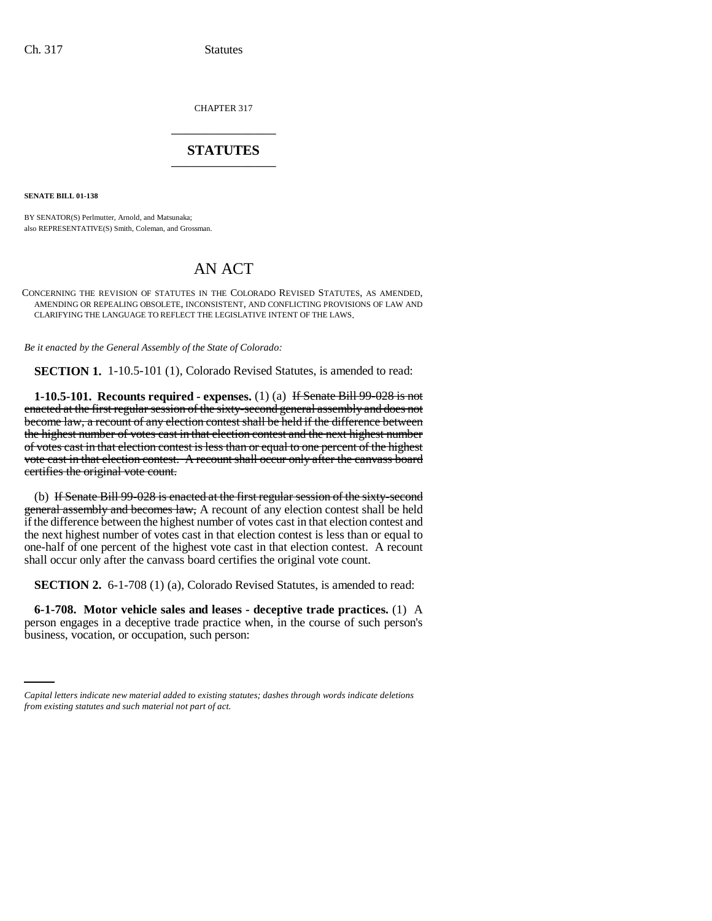CHAPTER 317 \_\_\_\_\_\_\_\_\_\_\_\_\_\_\_

# **STATUTES** \_\_\_\_\_\_\_\_\_\_\_\_\_\_\_

**SENATE BILL 01-138**

BY SENATOR(S) Perlmutter, Arnold, and Matsunaka; also REPRESENTATIVE(S) Smith, Coleman, and Grossman.

# AN ACT

CONCERNING THE REVISION OF STATUTES IN THE COLORADO REVISED STATUTES, AS AMENDED, AMENDING OR REPEALING OBSOLETE, INCONSISTENT, AND CONFLICTING PROVISIONS OF LAW AND CLARIFYING THE LANGUAGE TO REFLECT THE LEGISLATIVE INTENT OF THE LAWS.

*Be it enacted by the General Assembly of the State of Colorado:*

**SECTION 1.** 1-10.5-101 (1), Colorado Revised Statutes, is amended to read:

**1-10.5-101. Recounts required - expenses.** (1) (a) If Senate Bill 99-028 is not enacted at the first regular session of the sixty-second general assembly and does not become law, a recount of any election contest shall be held if the difference between the highest number of votes cast in that election contest and the next highest number of votes cast in that election contest is less than or equal to one percent of the highest vote cast in that election contest. A recount shall occur only after the canvass board certifies the original vote count.

(b) If Senate Bill 99-028 is enacted at the first regular session of the sixty-second general assembly and becomes law, A recount of any election contest shall be held if the difference between the highest number of votes cast in that election contest and the next highest number of votes cast in that election contest is less than or equal to one-half of one percent of the highest vote cast in that election contest. A recount shall occur only after the canvass board certifies the original vote count.

**SECTION 2.** 6-1-708 (1) (a), Colorado Revised Statutes, is amended to read:

person engages in a deceptive trade practice when, in the course of such person's **6-1-708. Motor vehicle sales and leases - deceptive trade practices.** (1) A business, vocation, or occupation, such person:

*Capital letters indicate new material added to existing statutes; dashes through words indicate deletions from existing statutes and such material not part of act.*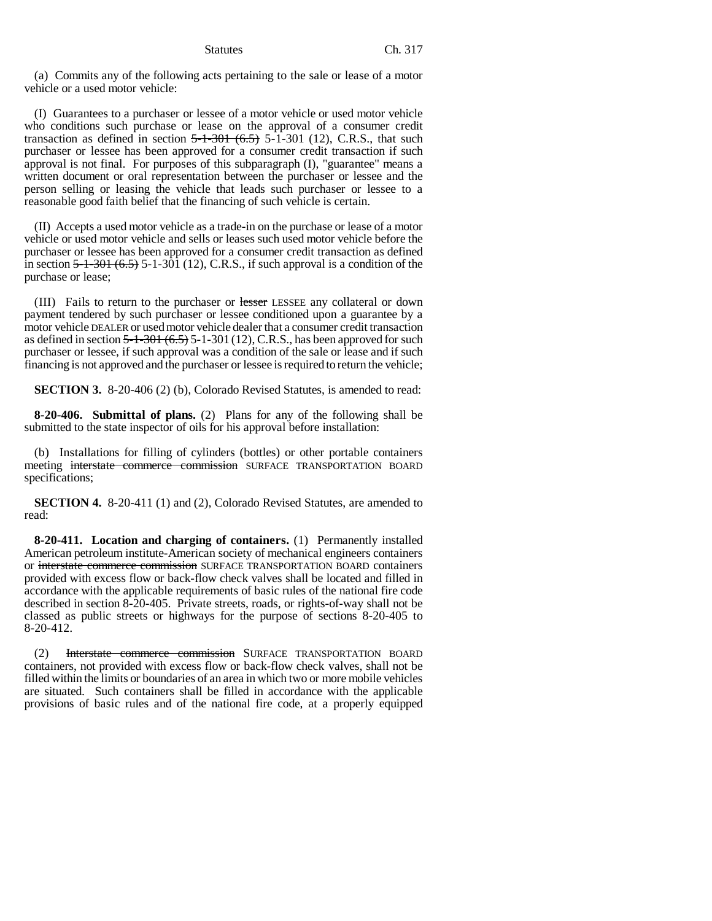(a) Commits any of the following acts pertaining to the sale or lease of a motor vehicle or a used motor vehicle:

(I) Guarantees to a purchaser or lessee of a motor vehicle or used motor vehicle who conditions such purchase or lease on the approval of a consumer credit transaction as defined in section  $5-1-301$   $(6.5)$  5-1-301  $(12)$ , C.R.S., that such purchaser or lessee has been approved for a consumer credit transaction if such approval is not final. For purposes of this subparagraph (I), "guarantee" means a written document or oral representation between the purchaser or lessee and the person selling or leasing the vehicle that leads such purchaser or lessee to a reasonable good faith belief that the financing of such vehicle is certain.

(II) Accepts a used motor vehicle as a trade-in on the purchase or lease of a motor vehicle or used motor vehicle and sells or leases such used motor vehicle before the purchaser or lessee has been approved for a consumer credit transaction as defined in section  $5-1-301$   $(6.5)$  5-1-301  $(12)$ , C.R.S., if such approval is a condition of the purchase or lease;

(III) Fails to return to the purchaser or lesser LESSEE any collateral or down payment tendered by such purchaser or lessee conditioned upon a guarantee by a motor vehicle DEALER or used motor vehicle dealer that a consumer credit transaction as defined in section  $5-1-301$   $(6.5)$  5-1-301  $(12)$ , C.R.S., has been approved for such purchaser or lessee, if such approval was a condition of the sale or lease and if such financing is not approved and the purchaser or lessee is required to return the vehicle;

**SECTION 3.** 8-20-406 (2) (b), Colorado Revised Statutes, is amended to read:

**8-20-406. Submittal of plans.** (2) Plans for any of the following shall be submitted to the state inspector of oils for his approval before installation:

(b) Installations for filling of cylinders (bottles) or other portable containers meeting interstate commerce commission SURFACE TRANSPORTATION BOARD specifications;

**SECTION 4.** 8-20-411 (1) and (2), Colorado Revised Statutes, are amended to read:

**8-20-411. Location and charging of containers.** (1) Permanently installed American petroleum institute-American society of mechanical engineers containers or interstate commerce commission SURFACE TRANSPORTATION BOARD containers provided with excess flow or back-flow check valves shall be located and filled in accordance with the applicable requirements of basic rules of the national fire code described in section 8-20-405. Private streets, roads, or rights-of-way shall not be classed as public streets or highways for the purpose of sections 8-20-405 to 8-20-412.

(2) Interstate commerce commission SURFACE TRANSPORTATION BOARD containers, not provided with excess flow or back-flow check valves, shall not be filled within the limits or boundaries of an area in which two or more mobile vehicles are situated. Such containers shall be filled in accordance with the applicable provisions of basic rules and of the national fire code, at a properly equipped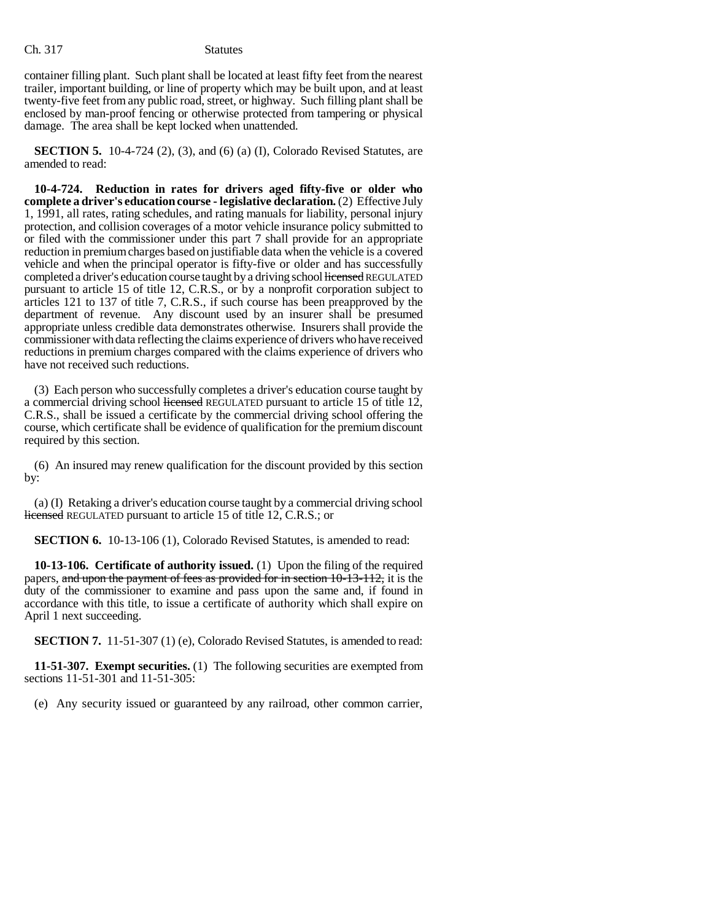container filling plant. Such plant shall be located at least fifty feet from the nearest trailer, important building, or line of property which may be built upon, and at least twenty-five feet from any public road, street, or highway. Such filling plant shall be enclosed by man-proof fencing or otherwise protected from tampering or physical damage. The area shall be kept locked when unattended.

**SECTION 5.** 10-4-724 (2), (3), and (6) (a) (I), Colorado Revised Statutes, are amended to read:

**10-4-724. Reduction in rates for drivers aged fifty-five or older who complete a driver's education course - legislative declaration.** (2) Effective July 1, 1991, all rates, rating schedules, and rating manuals for liability, personal injury protection, and collision coverages of a motor vehicle insurance policy submitted to or filed with the commissioner under this part 7 shall provide for an appropriate reduction in premium charges based on justifiable data when the vehicle is a covered vehicle and when the principal operator is fifty-five or older and has successfully completed a driver's education course taught by a driving school licensed REGULATED pursuant to article 15 of title 12, C.R.S., or by a nonprofit corporation subject to articles 121 to 137 of title 7, C.R.S., if such course has been preapproved by the department of revenue. Any discount used by an insurer shall be presumed appropriate unless credible data demonstrates otherwise. Insurers shall provide the commissioner with data reflecting the claims experience of drivers who have received reductions in premium charges compared with the claims experience of drivers who have not received such reductions.

(3) Each person who successfully completes a driver's education course taught by a commercial driving school licensed REGULATED pursuant to article 15 of title 12, C.R.S., shall be issued a certificate by the commercial driving school offering the course, which certificate shall be evidence of qualification for the premium discount required by this section.

(6) An insured may renew qualification for the discount provided by this section by:

(a) (I) Retaking a driver's education course taught by a commercial driving school licensed REGULATED pursuant to article 15 of title 12, C.R.S.; or

**SECTION 6.** 10-13-106 (1), Colorado Revised Statutes, is amended to read:

**10-13-106. Certificate of authority issued.** (1) Upon the filing of the required papers, and upon the payment of fees as provided for in section 10-13-112, it is the duty of the commissioner to examine and pass upon the same and, if found in accordance with this title, to issue a certificate of authority which shall expire on April 1 next succeeding.

**SECTION 7.** 11-51-307 (1) (e), Colorado Revised Statutes, is amended to read:

**11-51-307. Exempt securities.** (1) The following securities are exempted from sections 11-51-301 and 11-51-305:

(e) Any security issued or guaranteed by any railroad, other common carrier,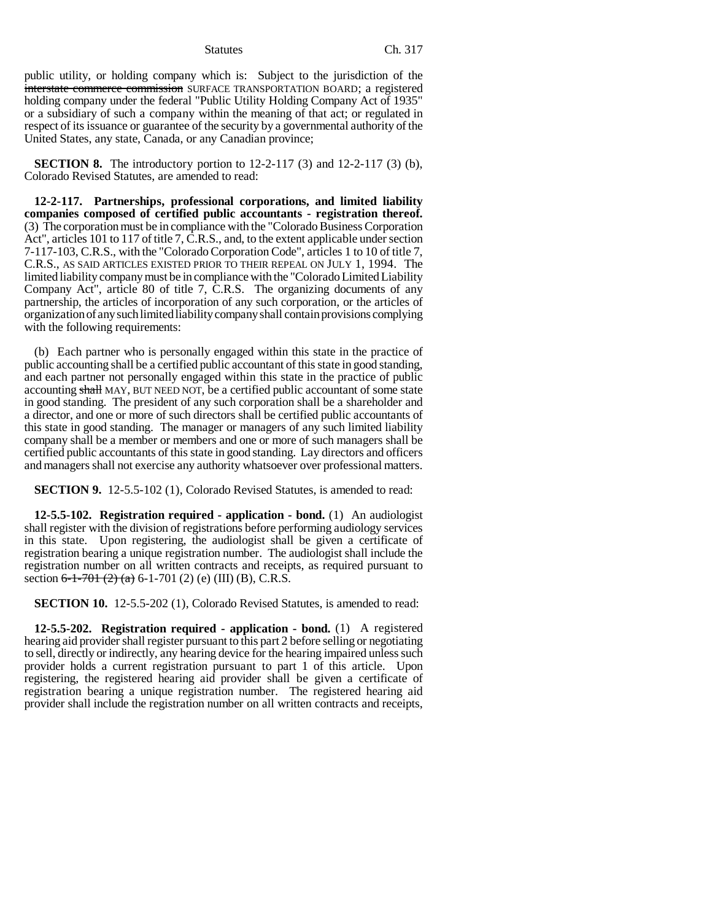public utility, or holding company which is: Subject to the jurisdiction of the interstate commerce commission SURFACE TRANSPORTATION BOARD; a registered holding company under the federal "Public Utility Holding Company Act of 1935" or a subsidiary of such a company within the meaning of that act; or regulated in respect of its issuance or guarantee of the security by a governmental authority of the United States, any state, Canada, or any Canadian province;

**SECTION 8.** The introductory portion to 12-2-117 (3) and 12-2-117 (3) (b), Colorado Revised Statutes, are amended to read:

**12-2-117. Partnerships, professional corporations, and limited liability companies composed of certified public accountants - registration thereof.** (3) The corporation must be in compliance with the "Colorado Business Corporation Act", articles 101 to 117 of title 7, C.R.S., and, to the extent applicable under section 7-117-103, C.R.S., with the "Colorado Corporation Code", articles 1 to 10 of title 7, C.R.S., AS SAID ARTICLES EXISTED PRIOR TO THEIR REPEAL ON JULY 1, 1994. The limited liability company must be in compliance with the "Colorado Limited Liability Company Act", article 80 of title 7, C.R.S. The organizing documents of any partnership, the articles of incorporation of any such corporation, or the articles of organization of any such limited liability company shall contain provisions complying with the following requirements:

(b) Each partner who is personally engaged within this state in the practice of public accounting shall be a certified public accountant of this state in good standing, and each partner not personally engaged within this state in the practice of public accounting shall MAY, BUT NEED NOT, be a certified public accountant of some state in good standing. The president of any such corporation shall be a shareholder and a director, and one or more of such directors shall be certified public accountants of this state in good standing. The manager or managers of any such limited liability company shall be a member or members and one or more of such managers shall be certified public accountants of this state in good standing. Lay directors and officers and managers shall not exercise any authority whatsoever over professional matters.

**SECTION 9.** 12-5.5-102 (1), Colorado Revised Statutes, is amended to read:

**12-5.5-102. Registration required - application - bond.** (1) An audiologist shall register with the division of registrations before performing audiology services in this state. Upon registering, the audiologist shall be given a certificate of registration bearing a unique registration number. The audiologist shall include the registration number on all written contracts and receipts, as required pursuant to section  $6-1-701$   $(2)$   $(a)$  6-1-701  $(2)$   $(e)$   $(III)$   $(B)$ , C.R.S.

**SECTION 10.** 12-5.5-202 (1), Colorado Revised Statutes, is amended to read:

**12-5.5-202. Registration required - application - bond.** (1) A registered hearing aid provider shall register pursuant to this part 2 before selling or negotiating to sell, directly or indirectly, any hearing device for the hearing impaired unless such provider holds a current registration pursuant to part 1 of this article. Upon registering, the registered hearing aid provider shall be given a certificate of registration bearing a unique registration number. The registered hearing aid provider shall include the registration number on all written contracts and receipts,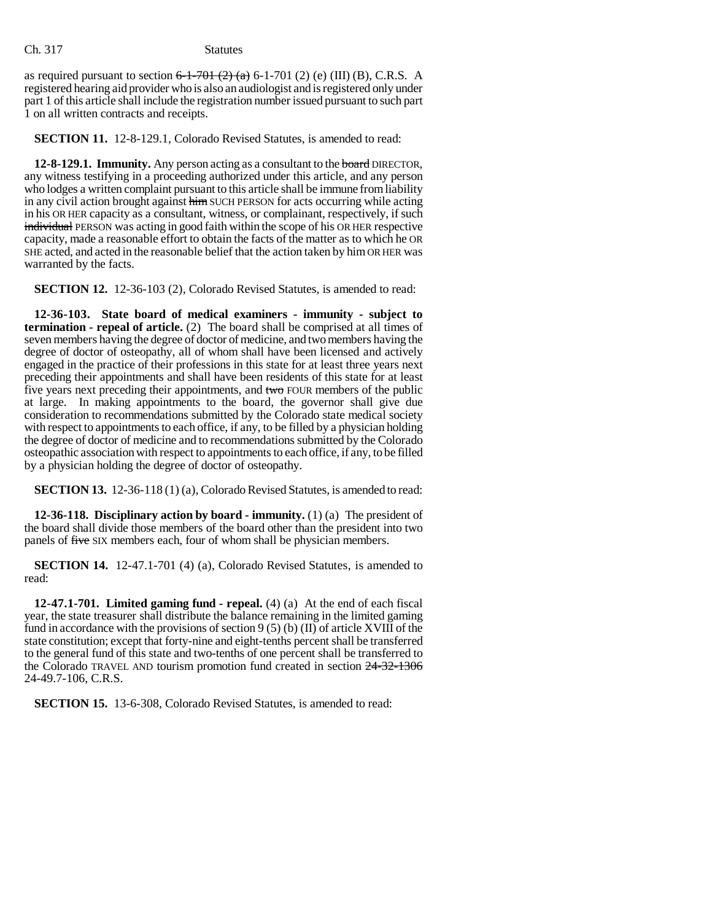as required pursuant to section  $6-1-701$   $(2)$   $(a)$   $(6-1-701)$   $(2)$   $(e)$   $(III)$   $(B)$ , C.R.S. A registered hearing aid provider who is also an audiologist and is registered only under part 1 of this article shall include the registration number issued pursuant to such part 1 on all written contracts and receipts.

**SECTION 11.** 12-8-129.1, Colorado Revised Statutes, is amended to read:

**12-8-129.1. Immunity.** Any person acting as a consultant to the board DIRECTOR, any witness testifying in a proceeding authorized under this article, and any person who lodges a written complaint pursuant to this article shall be immune from liability in any civil action brought against him SUCH PERSON for acts occurring while acting in his OR HER capacity as a consultant, witness, or complainant, respectively, if such individual PERSON was acting in good faith within the scope of his OR HER respective capacity, made a reasonable effort to obtain the facts of the matter as to which he OR SHE acted, and acted in the reasonable belief that the action taken by him OR HER was warranted by the facts.

**SECTION 12.** 12-36-103 (2), Colorado Revised Statutes, is amended to read:

**12-36-103. State board of medical examiners - immunity - subject to termination - repeal of article.** (2) The board shall be comprised at all times of seven members having the degree of doctor of medicine, and two members having the degree of doctor of osteopathy, all of whom shall have been licensed and actively engaged in the practice of their professions in this state for at least three years next preceding their appointments and shall have been residents of this state for at least five years next preceding their appointments, and two FOUR members of the public at large. In making appointments to the board, the governor shall give due consideration to recommendations submitted by the Colorado state medical society with respect to appointments to each office, if any, to be filled by a physician holding the degree of doctor of medicine and to recommendations submitted by the Colorado osteopathic association with respect to appointments to each office, if any, to be filled by a physician holding the degree of doctor of osteopathy.

**SECTION 13.** 12-36-118 (1) (a), Colorado Revised Statutes, is amended to read:

**12-36-118. Disciplinary action by board - immunity.** (1) (a) The president of the board shall divide those members of the board other than the president into two panels of five SIX members each, four of whom shall be physician members.

**SECTION 14.** 12-47.1-701 (4) (a), Colorado Revised Statutes, is amended to read:

**12-47.1-701. Limited gaming fund - repeal.** (4) (a) At the end of each fiscal year, the state treasurer shall distribute the balance remaining in the limited gaming fund in accordance with the provisions of section  $9(5)$  (b) (II) of article XVIII of the state constitution; except that forty-nine and eight-tenths percent shall be transferred to the general fund of this state and two-tenths of one percent shall be transferred to the Colorado TRAVEL AND tourism promotion fund created in section 24-32-1306 24-49.7-106, C.R.S.

**SECTION 15.** 13-6-308, Colorado Revised Statutes, is amended to read: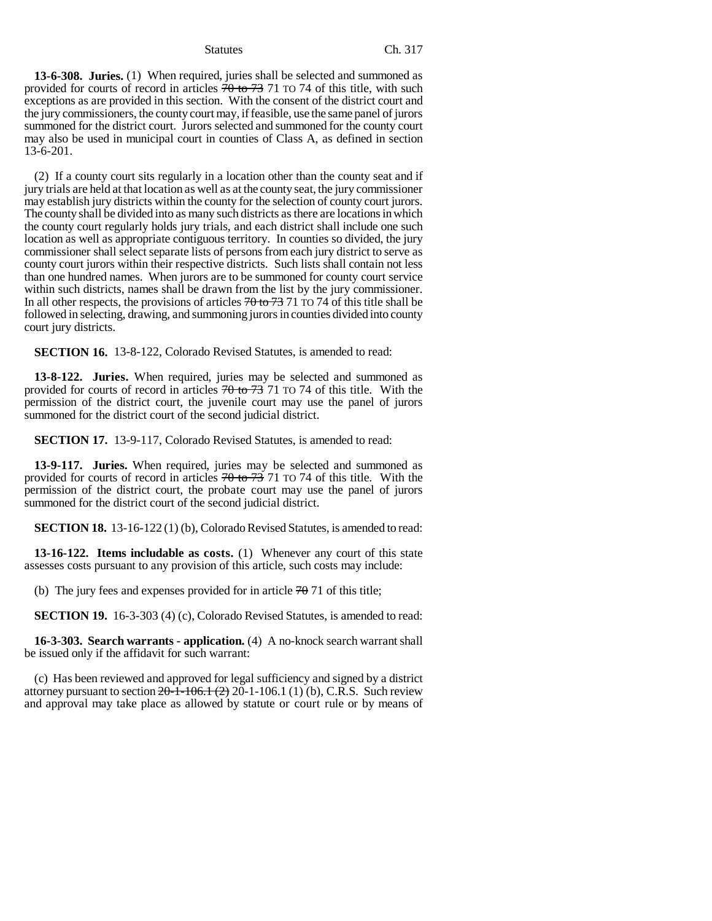**13-6-308. Juries.** (1) When required, juries shall be selected and summoned as provided for courts of record in articles  $70 \times 73$  71 TO 74 of this title, with such exceptions as are provided in this section. With the consent of the district court and the jury commissioners, the county court may, if feasible, use the same panel of jurors summoned for the district court. Jurors selected and summoned for the county court may also be used in municipal court in counties of Class A, as defined in section 13-6-201.

(2) If a county court sits regularly in a location other than the county seat and if jury trials are held at that location as well as at the county seat, the jury commissioner may establish jury districts within the county for the selection of county court jurors. The county shall be divided into as many such districts as there are locations in which the county court regularly holds jury trials, and each district shall include one such location as well as appropriate contiguous territory. In counties so divided, the jury commissioner shall select separate lists of persons from each jury district to serve as county court jurors within their respective districts. Such lists shall contain not less than one hundred names. When jurors are to be summoned for county court service within such districts, names shall be drawn from the list by the jury commissioner. In all other respects, the provisions of articles  $70$  to  $73$  71 TO 74 of this title shall be followed in selecting, drawing, and summoning jurors in counties divided into county court jury districts.

**SECTION 16.** 13-8-122, Colorado Revised Statutes, is amended to read:

**13-8-122. Juries.** When required, juries may be selected and summoned as provided for courts of record in articles  $70$  to  $73$  71 TO 74 of this title. With the permission of the district court, the juvenile court may use the panel of jurors summoned for the district court of the second judicial district.

**SECTION 17.** 13-9-117, Colorado Revised Statutes, is amended to read:

**13-9-117. Juries.** When required, juries may be selected and summoned as provided for courts of record in articles  $70$  to  $73$  71 TO 74 of this title. With the permission of the district court, the probate court may use the panel of jurors summoned for the district court of the second judicial district.

**SECTION 18.** 13-16-122 (1) (b), Colorado Revised Statutes, is amended to read:

**13-16-122. Items includable as costs.** (1) Whenever any court of this state assesses costs pursuant to any provision of this article, such costs may include:

(b) The jury fees and expenses provided for in article  $70\,71$  of this title;

**SECTION 19.** 16-3-303 (4) (c), Colorado Revised Statutes, is amended to read:

**16-3-303. Search warrants - application.** (4) A no-knock search warrant shall be issued only if the affidavit for such warrant:

(c) Has been reviewed and approved for legal sufficiency and signed by a district attorney pursuant to section  $20-1-106.1$  (2)  $20-1-106.1$  (1) (b), C.R.S. Such review and approval may take place as allowed by statute or court rule or by means of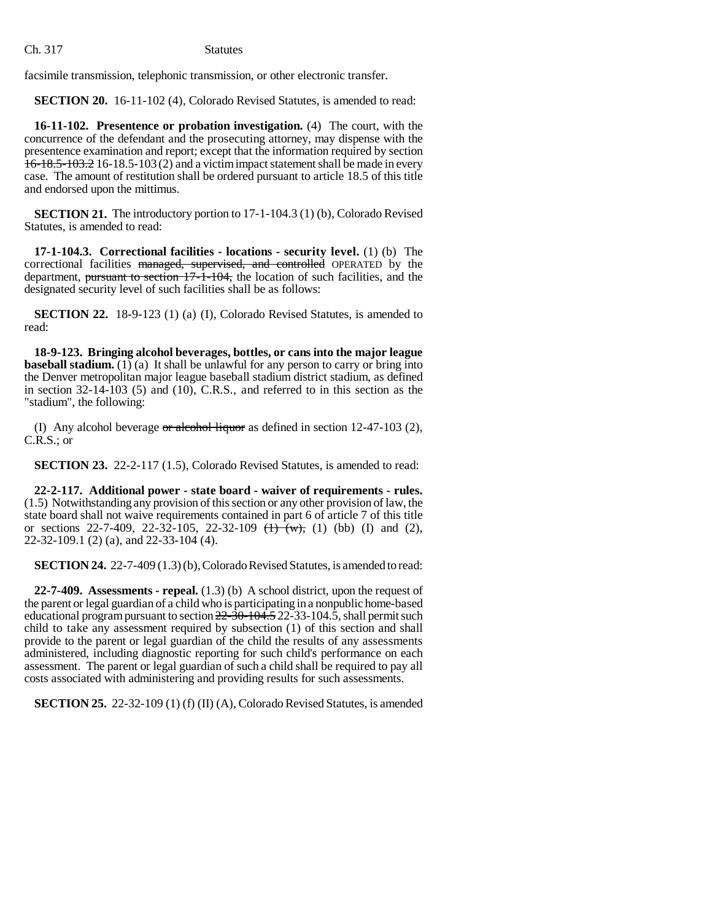facsimile transmission, telephonic transmission, or other electronic transfer.

**SECTION 20.** 16-11-102 (4), Colorado Revised Statutes, is amended to read:

**16-11-102. Presentence or probation investigation.** (4) The court, with the concurrence of the defendant and the prosecuting attorney, may dispense with the presentence examination and report; except that the information required by section 16-18.5-103.2 16-18.5-103 (2) and a victim impact statement shall be made in every case. The amount of restitution shall be ordered pursuant to article 18.5 of this title and endorsed upon the mittimus.

**SECTION 21.** The introductory portion to 17-1-104.3 (1) (b), Colorado Revised Statutes, is amended to read:

**17-1-104.3. Correctional facilities - locations - security level.** (1) (b) The correctional facilities managed, supervised, and controlled OPERATED by the department, pursuant to section 17-1-104, the location of such facilities, and the designated security level of such facilities shall be as follows:

**SECTION 22.** 18-9-123 (1) (a) (I), Colorado Revised Statutes, is amended to read:

**18-9-123. Bringing alcohol beverages, bottles, or cans into the major league baseball stadium.** (1) (a) It shall be unlawful for any person to carry or bring into the Denver metropolitan major league baseball stadium district stadium, as defined in section 32-14-103 (5) and (10), C.R.S., and referred to in this section as the "stadium", the following:

(I) Any alcohol beverage  $\sigma r$  alcohol liquor as defined in section 12-47-103 (2), C.R.S.; or

**SECTION 23.** 22-2-117 (1.5), Colorado Revised Statutes, is amended to read:

**22-2-117. Additional power - state board - waiver of requirements - rules.** (1.5) Notwithstanding any provision of this section or any other provision of law, the state board shall not waive requirements contained in part 6 of article 7 of this title or sections 22-7-409, 22-32-105, 22-32-109  $(\frac{1}{(w)}, (1)$  (bb) (I) and (2), 22-32-109.1 (2) (a), and 22-33-104 (4).

**SECTION 24.** 22-7-409 (1.3) (b), Colorado Revised Statutes, is amended to read:

**22-7-409. Assessments - repeal.** (1.3) (b) A school district, upon the request of the parent or legal guardian of a child who is participating in a nonpublic home-based educational program pursuant to section  $22-\overline{30}-104.5$ , 22-33-104.5, shall permit such child to take any assessment required by subsection (1) of this section and shall provide to the parent or legal guardian of the child the results of any assessments administered, including diagnostic reporting for such child's performance on each assessment. The parent or legal guardian of such a child shall be required to pay all costs associated with administering and providing results for such assessments.

**SECTION 25.** 22-32-109 (1) (f) (II) (A), Colorado Revised Statutes, is amended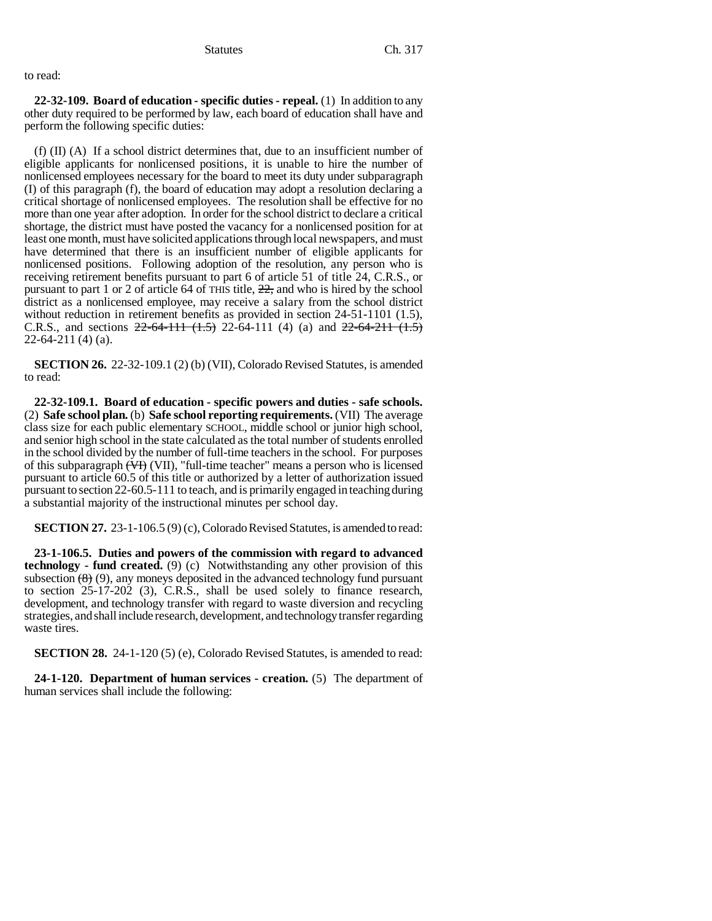to read:

**22-32-109. Board of education - specific duties - repeal.** (1) In addition to any other duty required to be performed by law, each board of education shall have and perform the following specific duties:

(f) (II) (A) If a school district determines that, due to an insufficient number of eligible applicants for nonlicensed positions, it is unable to hire the number of nonlicensed employees necessary for the board to meet its duty under subparagraph (I) of this paragraph (f), the board of education may adopt a resolution declaring a critical shortage of nonlicensed employees. The resolution shall be effective for no more than one year after adoption. In order for the school district to declare a critical shortage, the district must have posted the vacancy for a nonlicensed position for at least one month, must have solicited applications through local newspapers, and must have determined that there is an insufficient number of eligible applicants for nonlicensed positions. Following adoption of the resolution, any person who is receiving retirement benefits pursuant to part 6 of article 51 of title 24, C.R.S., or pursuant to part 1 or 2 of article 64 of THIS title, 22, and who is hired by the school district as a nonlicensed employee, may receive a salary from the school district without reduction in retirement benefits as provided in section 24-51-1101 (1.5), C.R.S., and sections  $22-64-111$   $(1.5)$  22-64-111 (4) (a) and  $22-64-211$   $(1.5)$ 22-64-211 (4) (a).

**SECTION 26.** 22-32-109.1 (2) (b) (VII), Colorado Revised Statutes, is amended to read:

**22-32-109.1. Board of education - specific powers and duties - safe schools.** (2) **Safe school plan.** (b) **Safe school reporting requirements.** (VII) The average class size for each public elementary SCHOOL, middle school or junior high school, and senior high school in the state calculated as the total number of students enrolled in the school divided by the number of full-time teachers in the school. For purposes of this subparagraph  $\overline{(VH)}$  (VII), "full-time teacher" means a person who is licensed pursuant to article 60.5 of this title or authorized by a letter of authorization issued pursuant to section 22-60.5-111 to teach, and is primarily engaged in teaching during a substantial majority of the instructional minutes per school day.

**SECTION 27.** 23-1-106.5 (9) (c), Colorado Revised Statutes, is amended to read:

**23-1-106.5. Duties and powers of the commission with regard to advanced technology** - fund created. (9) (c) Notwithstanding any other provision of this subsection  $(8)$  (9), any moneys deposited in the advanced technology fund pursuant to section 25-17-202 (3), C.R.S., shall be used solely to finance research, development, and technology transfer with regard to waste diversion and recycling strategies, and shall include research, development, and technology transfer regarding waste tires.

**SECTION 28.** 24-1-120 (5) (e), Colorado Revised Statutes, is amended to read:

**24-1-120. Department of human services - creation.** (5) The department of human services shall include the following: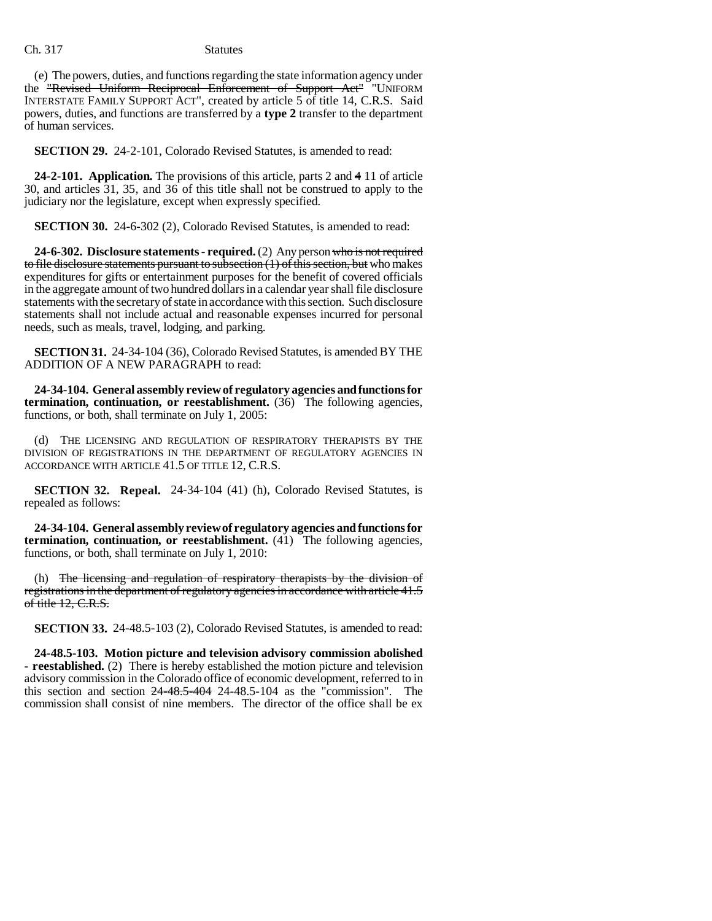(e) The powers, duties, and functions regarding the state information agency under the "Revised Uniform Reciprocal Enforcement of Support Act" "UNIFORM INTERSTATE FAMILY SUPPORT ACT", created by article 5 of title 14, C.R.S. Said powers, duties, and functions are transferred by a **type 2** transfer to the department of human services.

**SECTION 29.** 24-2-101, Colorado Revised Statutes, is amended to read:

**24-2-101. Application.** The provisions of this article, parts 2 and 4 11 of article 30, and articles 31, 35, and 36 of this title shall not be construed to apply to the judiciary nor the legislature, except when expressly specified.

**SECTION 30.** 24-6-302 (2), Colorado Revised Statutes, is amended to read:

**24-6-302. Disclosure statements - required.** (2) Any person who is not required to file disclosure statements pursuant to subsection (1) of this section, but who makes expenditures for gifts or entertainment purposes for the benefit of covered officials in the aggregate amount of two hundred dollars in a calendar year shall file disclosure statements with the secretary of state in accordance with this section. Such disclosure statements shall not include actual and reasonable expenses incurred for personal needs, such as meals, travel, lodging, and parking.

**SECTION 31.** 24-34-104 (36), Colorado Revised Statutes, is amended BY THE ADDITION OF A NEW PARAGRAPH to read:

**24-34-104. General assembly review of regulatory agencies and functions for termination, continuation, or reestablishment.** (36) The following agencies, functions, or both, shall terminate on July 1, 2005:

(d) THE LICENSING AND REGULATION OF RESPIRATORY THERAPISTS BY THE DIVISION OF REGISTRATIONS IN THE DEPARTMENT OF REGULATORY AGENCIES IN ACCORDANCE WITH ARTICLE 41.5 OF TITLE 12, C.R.S.

**SECTION 32. Repeal.** 24-34-104 (41) (h), Colorado Revised Statutes, is repealed as follows:

**24-34-104. General assembly review of regulatory agencies and functions for termination, continuation, or reestablishment.** (41) The following agencies, functions, or both, shall terminate on July 1, 2010:

(h) The licensing and regulation of respiratory therapists by the division of registrations in the department of regulatory agencies in accordance with article 41.5 of title  $12$ , C.R.S.

**SECTION 33.** 24-48.5-103 (2), Colorado Revised Statutes, is amended to read:

**24-48.5-103. Motion picture and television advisory commission abolished - reestablished.** (2) There is hereby established the motion picture and television advisory commission in the Colorado office of economic development, referred to in this section and section  $24-48.5-404$  24-48.5-104 as the "commission". The commission shall consist of nine members. The director of the office shall be ex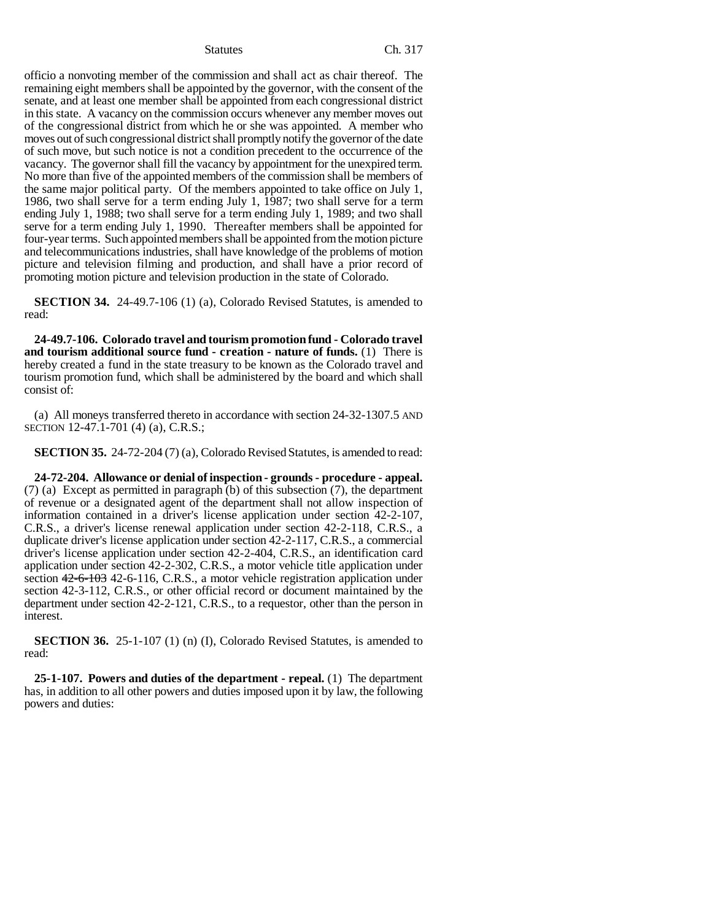officio a nonvoting member of the commission and shall act as chair thereof. The remaining eight members shall be appointed by the governor, with the consent of the senate, and at least one member shall be appointed from each congressional district in this state. A vacancy on the commission occurs whenever any member moves out of the congressional district from which he or she was appointed. A member who moves out of such congressional district shall promptly notify the governor of the date of such move, but such notice is not a condition precedent to the occurrence of the vacancy. The governor shall fill the vacancy by appointment for the unexpired term. No more than five of the appointed members of the commission shall be members of the same major political party. Of the members appointed to take office on July 1, 1986, two shall serve for a term ending July 1, 1987; two shall serve for a term ending July 1, 1988; two shall serve for a term ending July 1, 1989; and two shall serve for a term ending July 1, 1990. Thereafter members shall be appointed for four-year terms. Such appointed members shall be appointed from the motion picture and telecommunications industries, shall have knowledge of the problems of motion picture and television filming and production, and shall have a prior record of promoting motion picture and television production in the state of Colorado.

**SECTION 34.** 24-49.7-106 (1) (a), Colorado Revised Statutes, is amended to read:

**24-49.7-106. Colorado travel and tourism promotion fund - Colorado travel and tourism additional source fund - creation - nature of funds.** (1) There is hereby created a fund in the state treasury to be known as the Colorado travel and tourism promotion fund, which shall be administered by the board and which shall consist of:

(a) All moneys transferred thereto in accordance with section 24-32-1307.5 AND SECTION 12-47.1-701 (4) (a), C.R.S.;

**SECTION 35.** 24-72-204 (7) (a), Colorado Revised Statutes, is amended to read:

**24-72-204. Allowance or denial of inspection - grounds - procedure - appeal.** (7) (a) Except as permitted in paragraph (b) of this subsection (7), the department of revenue or a designated agent of the department shall not allow inspection of information contained in a driver's license application under section 42-2-107, C.R.S., a driver's license renewal application under section 42-2-118, C.R.S., a duplicate driver's license application under section 42-2-117, C.R.S., a commercial driver's license application under section 42-2-404, C.R.S., an identification card application under section 42-2-302, C.R.S., a motor vehicle title application under section 42-6-103 42-6-116, C.R.S., a motor vehicle registration application under section 42-3-112, C.R.S., or other official record or document maintained by the department under section 42-2-121, C.R.S., to a requestor, other than the person in interest.

**SECTION 36.** 25-1-107 (1) (n) (I), Colorado Revised Statutes, is amended to read:

**25-1-107. Powers and duties of the department - repeal.** (1) The department has, in addition to all other powers and duties imposed upon it by law, the following powers and duties: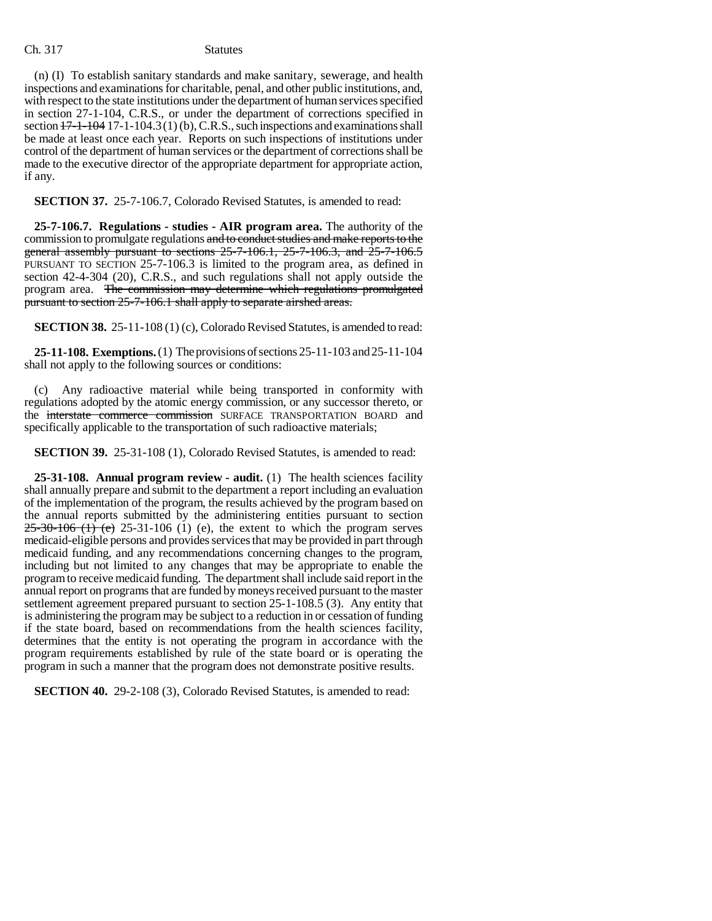(n) (I) To establish sanitary standards and make sanitary, sewerage, and health inspections and examinations for charitable, penal, and other public institutions, and, with respect to the state institutions under the department of human services specified in section 27-1-104, C.R.S., or under the department of corrections specified in section  $17-1-104$  17-1-104.3(1)(b), C.R.S., such inspections and examinations shall be made at least once each year. Reports on such inspections of institutions under control of the department of human services or the department of corrections shall be made to the executive director of the appropriate department for appropriate action, if any.

**SECTION 37.** 25-7-106.7, Colorado Revised Statutes, is amended to read:

**25-7-106.7. Regulations - studies - AIR program area.** The authority of the commission to promulgate regulations and to conduct studies and make reports to the general assembly pursuant to sections 25-7-106.1, 25-7-106.3, and 25-7-106.5 PURSUANT TO SECTION 25-7-106.3 is limited to the program area, as defined in section 42-4-304 (20), C.R.S., and such regulations shall not apply outside the program area. The commission may determine which regulations promulgated pursuant to section 25-7-106.1 shall apply to separate airshed areas.

**SECTION 38.** 25-11-108 (1) (c), Colorado Revised Statutes, is amended to read:

**25-11-108. Exemptions.** (1) The provisions of sections 25-11-103 and 25-11-104 shall not apply to the following sources or conditions:

(c) Any radioactive material while being transported in conformity with regulations adopted by the atomic energy commission, or any successor thereto, or the interstate commerce commission SURFACE TRANSPORTATION BOARD and specifically applicable to the transportation of such radioactive materials;

**SECTION 39.** 25-31-108 (1), Colorado Revised Statutes, is amended to read:

**25-31-108. Annual program review - audit.** (1) The health sciences facility shall annually prepare and submit to the department a report including an evaluation of the implementation of the program, the results achieved by the program based on the annual reports submitted by the administering entities pursuant to section  $25-30-106$  (1) (e) 25-31-106 (1) (e), the extent to which the program serves medicaid-eligible persons and provides services that may be provided in part through medicaid funding, and any recommendations concerning changes to the program, including but not limited to any changes that may be appropriate to enable the program to receive medicaid funding. The department shall include said report in the annual report on programs that are funded by moneys received pursuant to the master settlement agreement prepared pursuant to section 25-1-108.5 (3). Any entity that is administering the program may be subject to a reduction in or cessation of funding if the state board, based on recommendations from the health sciences facility, determines that the entity is not operating the program in accordance with the program requirements established by rule of the state board or is operating the program in such a manner that the program does not demonstrate positive results.

**SECTION 40.** 29-2-108 (3), Colorado Revised Statutes, is amended to read: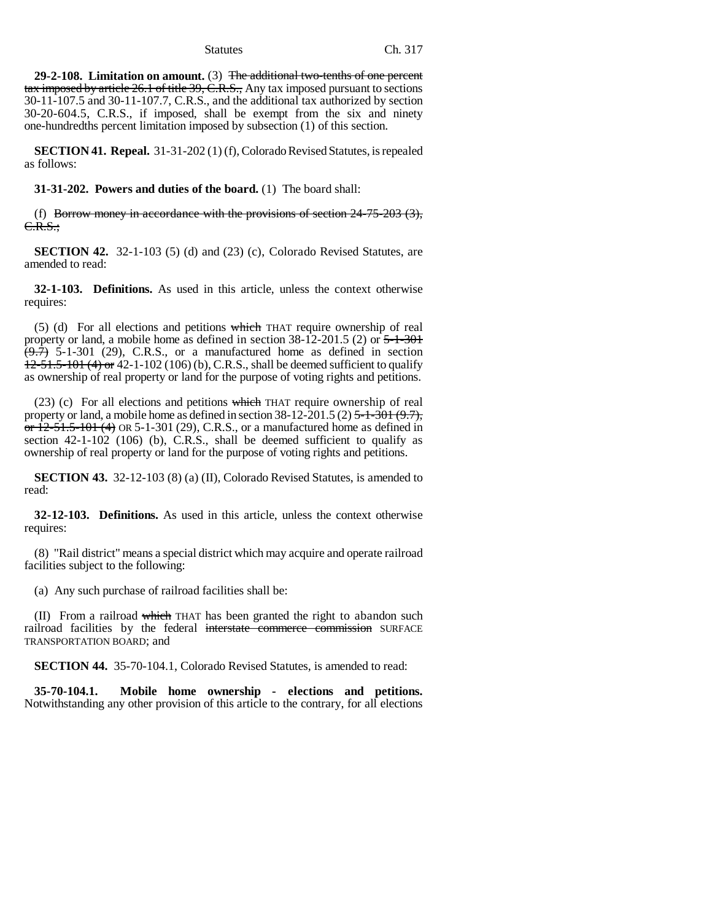**29-2-108. Limitation on amount.** (3) The additional two-tenths of one percent tax imposed by article 26.1 of title 39, C.R.S., Any tax imposed pursuant to sections 30-11-107.5 and 30-11-107.7, C.R.S., and the additional tax authorized by section 30-20-604.5, C.R.S., if imposed, shall be exempt from the six and ninety one-hundredths percent limitation imposed by subsection (1) of this section.

**SECTION 41. Repeal.** 31-31-202 (1) (f), Colorado Revised Statutes, is repealed as follows:

**31-31-202. Powers and duties of the board.** (1) The board shall:

(f) Borrow money in accordance with the provisions of section  $24-75-203$  (3), C.R.S.;

**SECTION 42.** 32-1-103 (5) (d) and (23) (c), Colorado Revised Statutes, are amended to read:

**32-1-103. Definitions.** As used in this article, unless the context otherwise requires:

 $(5)$  (d) For all elections and petitions which THAT require ownership of real property or land, a mobile home as defined in section  $38-12-201.5$  (2) or  $5-1-301$  $\overline{(+)}$  5-1-301 (29), C.R.S., or a manufactured home as defined in section  $12-51.5-101$  (4) or 42-1-102 (106) (b), C.R.S., shall be deemed sufficient to qualify as ownership of real property or land for the purpose of voting rights and petitions.

(23) (c) For all elections and petitions which THAT require ownership of real property or land, a mobile home as defined in section  $38-12-201.5(2)$   $5-1-301(9.7)$ ,  $\overline{or}$  12-51.5-101 (4) OR 5-1-301 (29), C.R.S., or a manufactured home as defined in section 42-1-102 (106) (b), C.R.S., shall be deemed sufficient to qualify as ownership of real property or land for the purpose of voting rights and petitions.

**SECTION 43.** 32-12-103 (8) (a) (II), Colorado Revised Statutes, is amended to read:

**32-12-103. Definitions.** As used in this article, unless the context otherwise requires:

(8) "Rail district" means a special district which may acquire and operate railroad facilities subject to the following:

(a) Any such purchase of railroad facilities shall be:

(II) From a railroad which THAT has been granted the right to abandon such railroad facilities by the federal interstate commerce commission SURFACE TRANSPORTATION BOARD; and

**SECTION 44.** 35-70-104.1, Colorado Revised Statutes, is amended to read:

**35-70-104.1. Mobile home ownership - elections and petitions.** Notwithstanding any other provision of this article to the contrary, for all elections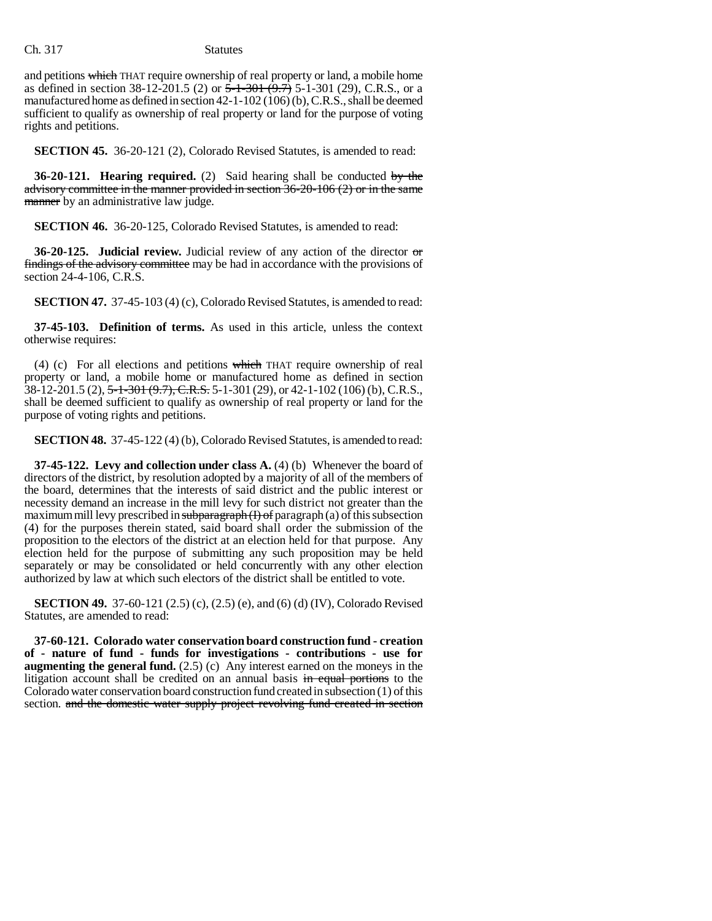and petitions which THAT require ownership of real property or land, a mobile home as defined in section  $38-12-201.5$  (2) or  $5-1-301$   $(9.7)$  5-1-301 (29), C.R.S., or a manufactured home as defined in section 42-1-102 (106) (b), C.R.S., shall be deemed sufficient to qualify as ownership of real property or land for the purpose of voting rights and petitions.

**SECTION 45.** 36-20-121 (2), Colorado Revised Statutes, is amended to read:

**36-20-121. Hearing required.** (2) Said hearing shall be conducted by the advisory committee in the manner provided in section 36-20-106 (2) or in the same manner by an administrative law judge.

**SECTION 46.** 36-20-125, Colorado Revised Statutes, is amended to read:

**36-20-125. Judicial review.** Judicial review of any action of the director or findings of the advisory committee may be had in accordance with the provisions of section 24-4-106, C.R.S.

**SECTION 47.** 37-45-103 (4) (c), Colorado Revised Statutes, is amended to read:

**37-45-103. Definition of terms.** As used in this article, unless the context otherwise requires:

(4) (c) For all elections and petitions which THAT require ownership of real property or land, a mobile home or manufactured home as defined in section 38-12-201.5 (2), 5-1-301 (9.7), C.R.S. 5-1-301 (29), or 42-1-102 (106) (b), C.R.S., shall be deemed sufficient to qualify as ownership of real property or land for the purpose of voting rights and petitions.

**SECTION 48.** 37-45-122 (4) (b), Colorado Revised Statutes, is amended to read:

**37-45-122. Levy and collection under class A.** (4) (b) Whenever the board of directors of the district, by resolution adopted by a majority of all of the members of the board, determines that the interests of said district and the public interest or necessity demand an increase in the mill levy for such district not greater than the maximum mill levy prescribed in  $\frac{\text{subparam}}{\text{maxram}}(I)$  of paragraph (a) of this subsection (4) for the purposes therein stated, said board shall order the submission of the proposition to the electors of the district at an election held for that purpose. Any election held for the purpose of submitting any such proposition may be held separately or may be consolidated or held concurrently with any other election authorized by law at which such electors of the district shall be entitled to vote.

**SECTION 49.** 37-60-121 (2.5) (c), (2.5) (e), and (6) (d) (IV), Colorado Revised Statutes, are amended to read:

**37-60-121. Colorado water conservation board construction fund - creation of - nature of fund - funds for investigations - contributions - use for augmenting the general fund.** (2.5) (c) Any interest earned on the moneys in the litigation account shall be credited on an annual basis in equal portions to the Colorado water conservation board construction fund created in subsection (1) of this section. and the domestic water supply project revolving fund created in section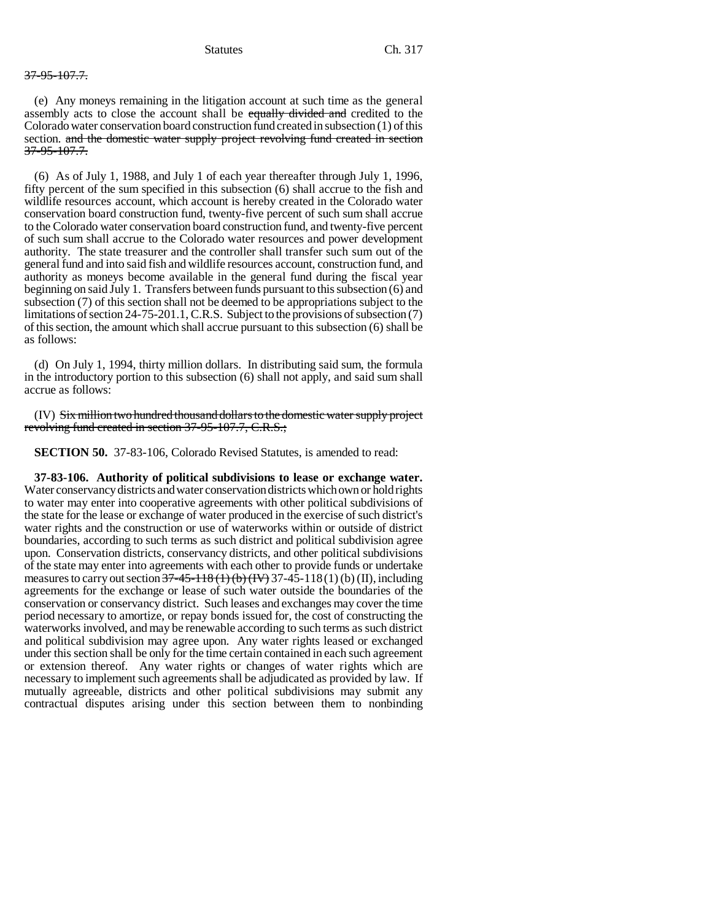## 37-95-107.7.

(e) Any moneys remaining in the litigation account at such time as the general assembly acts to close the account shall be equally divided and credited to the Colorado water conservation board construction fund created in subsection (1) of this section. and the domestic water supply project revolving fund created in section 37-95-107.7.

(6) As of July 1, 1988, and July 1 of each year thereafter through July 1, 1996, fifty percent of the sum specified in this subsection (6) shall accrue to the fish and wildlife resources account, which account is hereby created in the Colorado water conservation board construction fund, twenty-five percent of such sum shall accrue to the Colorado water conservation board construction fund, and twenty-five percent of such sum shall accrue to the Colorado water resources and power development authority. The state treasurer and the controller shall transfer such sum out of the general fund and into said fish and wildlife resources account, construction fund, and authority as moneys become available in the general fund during the fiscal year beginning on said July 1. Transfers between funds pursuant to this subsection (6) and subsection (7) of this section shall not be deemed to be appropriations subject to the limitations of section 24-75-201.1, C.R.S. Subject to the provisions of subsection (7) of this section, the amount which shall accrue pursuant to this subsection (6) shall be as follows:

(d) On July 1, 1994, thirty million dollars. In distributing said sum, the formula in the introductory portion to this subsection (6) shall not apply, and said sum shall accrue as follows:

(IV) Six million two hundred thousand dollars to the domestic water supply project revolving fund created in section 37-95-107.7, C.R.S.;

**SECTION 50.** 37-83-106, Colorado Revised Statutes, is amended to read:

**37-83-106. Authority of political subdivisions to lease or exchange water.** Water conservancy districts and water conservation districts which own or hold rights to water may enter into cooperative agreements with other political subdivisions of the state for the lease or exchange of water produced in the exercise of such district's water rights and the construction or use of waterworks within or outside of district boundaries, according to such terms as such district and political subdivision agree upon. Conservation districts, conservancy districts, and other political subdivisions of the state may enter into agreements with each other to provide funds or undertake measures to carry out section  $37-45-118$  (1) (b)  $(W)$  37-45-118 (1) (b) (II), including agreements for the exchange or lease of such water outside the boundaries of the conservation or conservancy district. Such leases and exchanges may cover the time period necessary to amortize, or repay bonds issued for, the cost of constructing the waterworks involved, and may be renewable according to such terms as such district and political subdivision may agree upon. Any water rights leased or exchanged under this section shall be only for the time certain contained in each such agreement or extension thereof. Any water rights or changes of water rights which are necessary to implement such agreements shall be adjudicated as provided by law. If mutually agreeable, districts and other political subdivisions may submit any contractual disputes arising under this section between them to nonbinding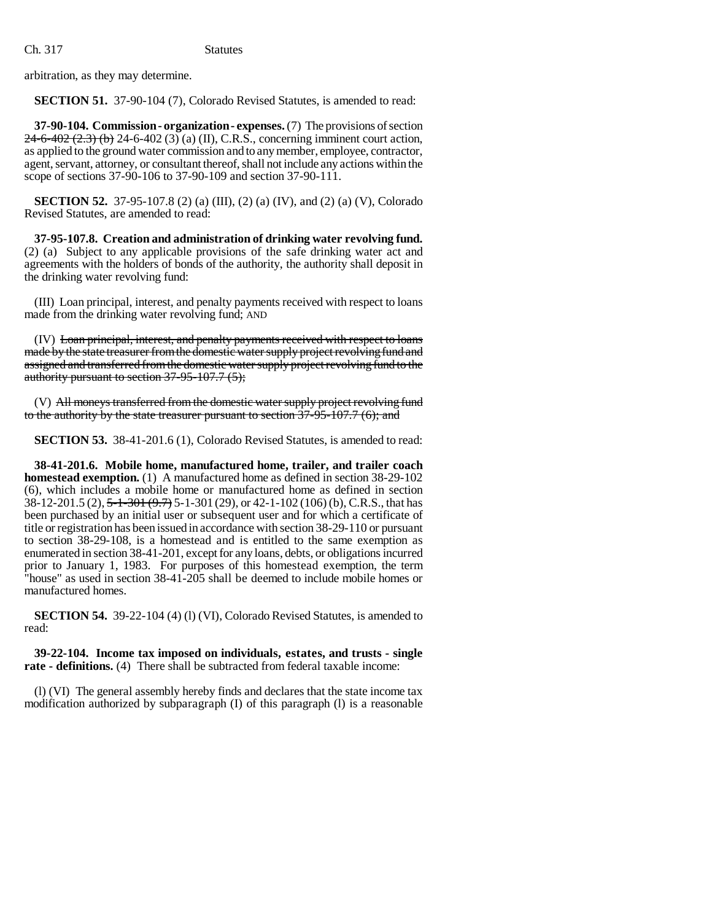arbitration, as they may determine.

**SECTION 51.** 37-90-104 (7), Colorado Revised Statutes, is amended to read:

**37-90-104. Commission - organization - expenses.** (7) The provisions of section 24-6-402 (2.3) (b) 24-6-402 (3) (a) (II), C.R.S., concerning imminent court action, as applied to the ground water commission and to any member, employee, contractor, agent, servant, attorney, or consultant thereof, shall not include any actions within the scope of sections 37-90-106 to 37-90-109 and section 37-90-111.

**SECTION 52.** 37-95-107.8 (2) (a) (III), (2) (a) (IV), and (2) (a) (V), Colorado Revised Statutes, are amended to read:

**37-95-107.8. Creation and administration of drinking water revolving fund.** (2) (a) Subject to any applicable provisions of the safe drinking water act and agreements with the holders of bonds of the authority, the authority shall deposit in the drinking water revolving fund:

(III) Loan principal, interest, and penalty payments received with respect to loans made from the drinking water revolving fund; AND

(IV) Loan principal, interest, and penalty payments received with respect to loans made by the state treasurer from the domestic water supply project revolving fund and assigned and transferred from the domestic water supply project revolving fund to the authority pursuant to section 37-95-107.7 (5);

(V) All moneys transferred from the domestic water supply project revolving fund to the authority by the state treasurer pursuant to section  $37-95-107.7$  (6); and

**SECTION 53.** 38-41-201.6 (1), Colorado Revised Statutes, is amended to read:

**38-41-201.6. Mobile home, manufactured home, trailer, and trailer coach homestead exemption.** (1) A manufactured home as defined in section 38-29-102 (6), which includes a mobile home or manufactured home as defined in section 38-12-201.5 (2), 5-1-301 (9.7) 5-1-301 (29), or 42-1-102 (106) (b), C.R.S., that has been purchased by an initial user or subsequent user and for which a certificate of title or registration has been issued in accordance with section 38-29-110 or pursuant to section 38-29-108, is a homestead and is entitled to the same exemption as enumerated in section 38-41-201, except for any loans, debts, or obligations incurred prior to January 1, 1983. For purposes of this homestead exemption, the term "house" as used in section 38-41-205 shall be deemed to include mobile homes or manufactured homes.

**SECTION 54.** 39-22-104 (4) (1) (VI), Colorado Revised Statutes, is amended to read:

**39-22-104. Income tax imposed on individuals, estates, and trusts - single rate - definitions.** (4) There shall be subtracted from federal taxable income:

(l) (VI) The general assembly hereby finds and declares that the state income tax modification authorized by subparagraph (I) of this paragraph (l) is a reasonable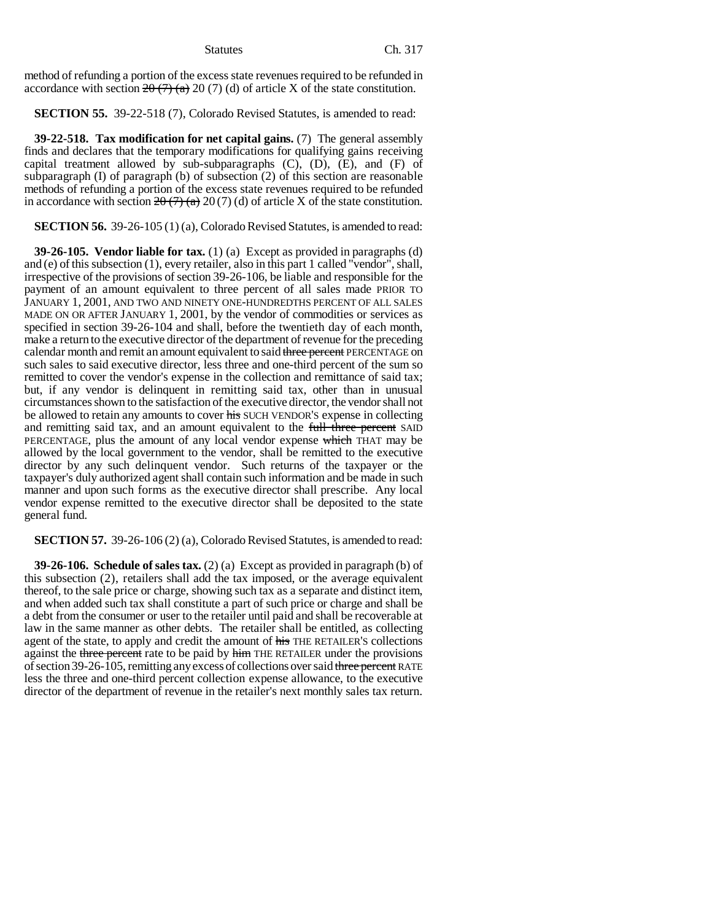method of refunding a portion of the excess state revenues required to be refunded in accordance with section  $2\theta$  (7) (a) 20 (7) (d) of article X of the state constitution.

**SECTION 55.** 39-22-518 (7), Colorado Revised Statutes, is amended to read:

**39-22-518. Tax modification for net capital gains.** (7) The general assembly finds and declares that the temporary modifications for qualifying gains receiving capital treatment allowed by sub-subparagraphs (C), (D), (E), and (F) of subparagraph (I) of paragraph (b) of subsection (2) of this section are reasonable methods of refunding a portion of the excess state revenues required to be refunded in accordance with section  $2\theta$  (7) (d) of article X of the state constitution.

**SECTION 56.** 39-26-105 (1) (a), Colorado Revised Statutes, is amended to read:

**39-26-105. Vendor liable for tax.** (1) (a) Except as provided in paragraphs (d) and (e) of this subsection (1), every retailer, also in this part 1 called "vendor", shall, irrespective of the provisions of section 39-26-106, be liable and responsible for the payment of an amount equivalent to three percent of all sales made PRIOR TO JANUARY 1, 2001, AND TWO AND NINETY ONE-HUNDREDTHS PERCENT OF ALL SALES MADE ON OR AFTER JANUARY 1, 2001, by the vendor of commodities or services as specified in section 39-26-104 and shall, before the twentieth day of each month, make a return to the executive director of the department of revenue for the preceding calendar month and remit an amount equivalent to said three percent PERCENTAGE on such sales to said executive director, less three and one-third percent of the sum so remitted to cover the vendor's expense in the collection and remittance of said tax; but, if any vendor is delinquent in remitting said tax, other than in unusual circumstances shown to the satisfaction of the executive director, the vendor shall not be allowed to retain any amounts to cover his SUCH VENDOR'S expense in collecting and remitting said tax, and an amount equivalent to the full three percent SAID PERCENTAGE, plus the amount of any local vendor expense which THAT may be allowed by the local government to the vendor, shall be remitted to the executive director by any such delinquent vendor. Such returns of the taxpayer or the taxpayer's duly authorized agent shall contain such information and be made in such manner and upon such forms as the executive director shall prescribe. Any local vendor expense remitted to the executive director shall be deposited to the state general fund.

**SECTION 57.** 39-26-106 (2) (a), Colorado Revised Statutes, is amended to read:

**39-26-106. Schedule of sales tax.** (2) (a) Except as provided in paragraph (b) of this subsection (2), retailers shall add the tax imposed, or the average equivalent thereof, to the sale price or charge, showing such tax as a separate and distinct item, and when added such tax shall constitute a part of such price or charge and shall be a debt from the consumer or user to the retailer until paid and shall be recoverable at law in the same manner as other debts. The retailer shall be entitled, as collecting agent of the state, to apply and credit the amount of his THE RETAILER's collections against the three percent rate to be paid by him THE RETAILER under the provisions of section 39-26-105, remitting any excess of collections over said three percent RATE less the three and one-third percent collection expense allowance, to the executive director of the department of revenue in the retailer's next monthly sales tax return.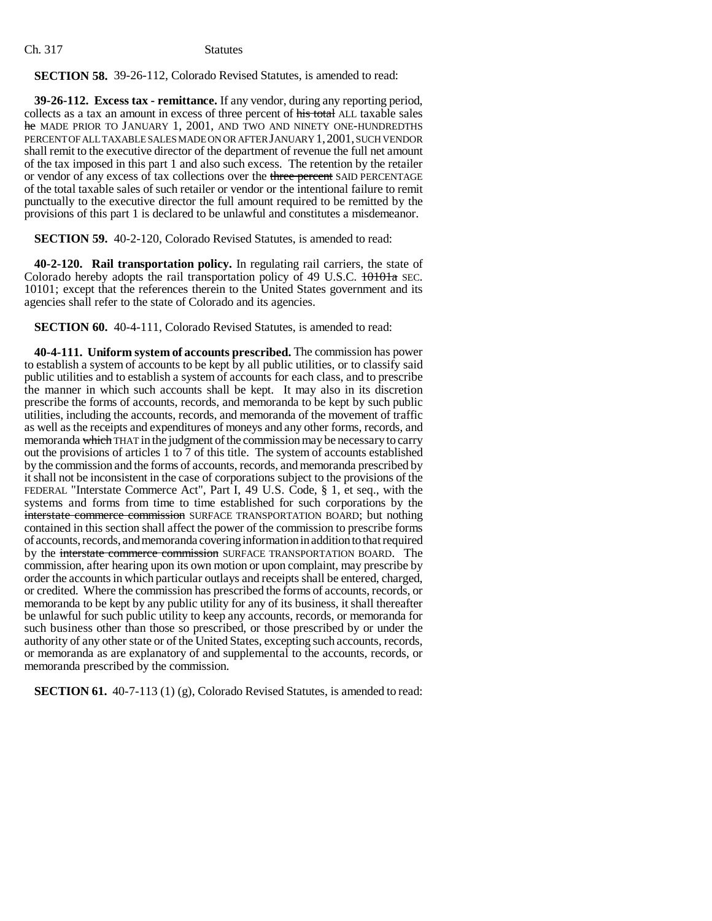**SECTION 58.** 39-26-112, Colorado Revised Statutes, is amended to read:

**39-26-112. Excess tax - remittance.** If any vendor, during any reporting period, collects as a tax an amount in excess of three percent of his total ALL taxable sales he MADE PRIOR TO JANUARY 1, 2001, AND TWO AND NINETY ONE-HUNDREDTHS PERCENT OF ALL TAXABLE SALES MADE ON OR AFTER JANUARY 1,2001, SUCH VENDOR shall remit to the executive director of the department of revenue the full net amount of the tax imposed in this part 1 and also such excess. The retention by the retailer or vendor of any excess of tax collections over the three percent SAID PERCENTAGE of the total taxable sales of such retailer or vendor or the intentional failure to remit punctually to the executive director the full amount required to be remitted by the provisions of this part 1 is declared to be unlawful and constitutes a misdemeanor.

**SECTION 59.** 40-2-120, Colorado Revised Statutes, is amended to read:

**40-2-120. Rail transportation policy.** In regulating rail carriers, the state of Colorado hereby adopts the rail transportation policy of 49 U.S.C. 10101a SEC. 10101; except that the references therein to the United States government and its agencies shall refer to the state of Colorado and its agencies.

**SECTION 60.** 40-4-111, Colorado Revised Statutes, is amended to read:

**40-4-111. Uniform system of accounts prescribed.** The commission has power to establish a system of accounts to be kept by all public utilities, or to classify said public utilities and to establish a system of accounts for each class, and to prescribe the manner in which such accounts shall be kept. It may also in its discretion prescribe the forms of accounts, records, and memoranda to be kept by such public utilities, including the accounts, records, and memoranda of the movement of traffic as well as the receipts and expenditures of moneys and any other forms, records, and memoranda which THAT in the judgment of the commission may be necessary to carry out the provisions of articles 1 to 7 of this title. The system of accounts established by the commission and the forms of accounts, records, and memoranda prescribed by it shall not be inconsistent in the case of corporations subject to the provisions of the FEDERAL "Interstate Commerce Act", Part I, 49 U.S. Code, § 1, et seq., with the systems and forms from time to time established for such corporations by the interstate commerce commission SURFACE TRANSPORTATION BOARD; but nothing contained in this section shall affect the power of the commission to prescribe forms of accounts, records, and memoranda covering information in addition to that required by the interstate commerce commission SURFACE TRANSPORTATION BOARD. The commission, after hearing upon its own motion or upon complaint, may prescribe by order the accounts in which particular outlays and receipts shall be entered, charged, or credited. Where the commission has prescribed the forms of accounts, records, or memoranda to be kept by any public utility for any of its business, it shall thereafter be unlawful for such public utility to keep any accounts, records, or memoranda for such business other than those so prescribed, or those prescribed by or under the authority of any other state or of the United States, excepting such accounts, records, or memoranda as are explanatory of and supplemental to the accounts, records, or memoranda prescribed by the commission.

**SECTION 61.** 40-7-113 (1) (g), Colorado Revised Statutes, is amended to read: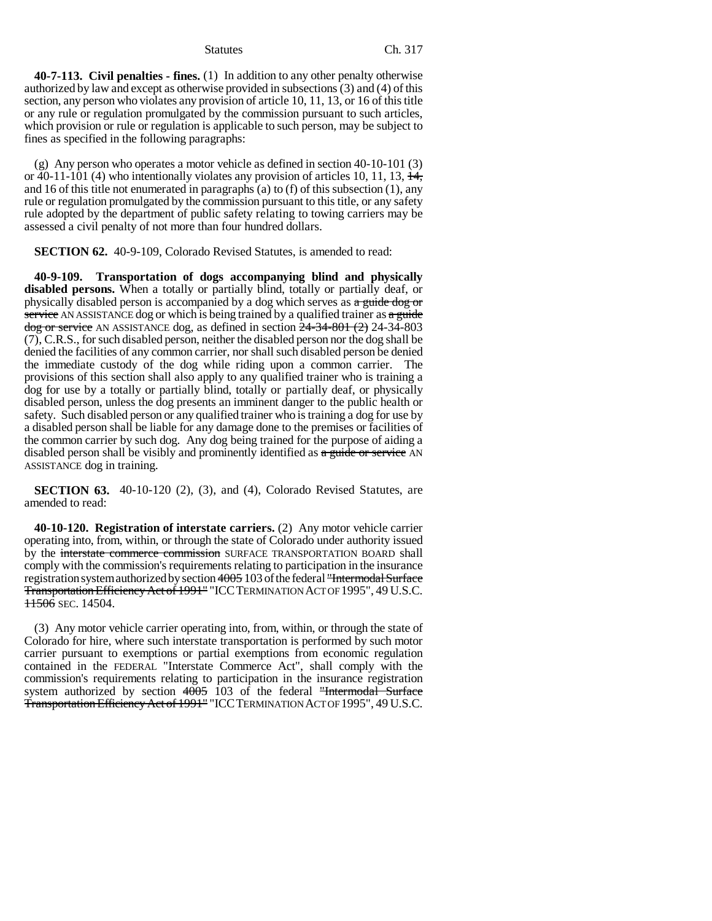**40-7-113. Civil penalties - fines.** (1) In addition to any other penalty otherwise authorized by law and except as otherwise provided in subsections (3) and (4) of this section, any person who violates any provision of article 10, 11, 13, or 16 of this title or any rule or regulation promulgated by the commission pursuant to such articles, which provision or rule or regulation is applicable to such person, may be subject to fines as specified in the following paragraphs:

(g) Any person who operates a motor vehicle as defined in section 40-10-101 (3) or 40-11-101 (4) who intentionally violates any provision of articles 10, 11, 13,  $\frac{14}{11}$ , and 16 of this title not enumerated in paragraphs (a) to (f) of this subsection (1), any rule or regulation promulgated by the commission pursuant to this title, or any safety rule adopted by the department of public safety relating to towing carriers may be assessed a civil penalty of not more than four hundred dollars.

**SECTION 62.** 40-9-109, Colorado Revised Statutes, is amended to read:

**40-9-109. Transportation of dogs accompanying blind and physically disabled persons.** When a totally or partially blind, totally or partially deaf, or physically disabled person is accompanied by a dog which serves as a guide dog or service AN ASSISTANCE dog or which is being trained by a qualified trainer as  $a$  guide  $\frac{\text{dog or service}}{\text{A}}$  AN ASSISTANCE dog, as defined in section  $24-34-801$  (2) 24-34-803 (7), C.R.S., for such disabled person, neither the disabled person nor the dog shall be denied the facilities of any common carrier, nor shall such disabled person be denied the immediate custody of the dog while riding upon a common carrier. The provisions of this section shall also apply to any qualified trainer who is training a dog for use by a totally or partially blind, totally or partially deaf, or physically disabled person, unless the dog presents an imminent danger to the public health or safety. Such disabled person or any qualified trainer who is training a dog for use by a disabled person shall be liable for any damage done to the premises or facilities of the common carrier by such dog. Any dog being trained for the purpose of aiding a disabled person shall be visibly and prominently identified as a guide or service AN ASSISTANCE dog in training.

**SECTION 63.** 40-10-120 (2), (3), and (4), Colorado Revised Statutes, are amended to read:

**40-10-120. Registration of interstate carriers.** (2) Any motor vehicle carrier operating into, from, within, or through the state of Colorado under authority issued by the interstate commerce commission SURFACE TRANSPORTATION BOARD shall comply with the commission's requirements relating to participation in the insurance registration system authorized by section 4005 103 of the federal "Intermodal Surface Transportation Efficiency Act of 1991" "ICCTERMINATION ACT OF 1995", 49 U.S.C. **11506** SEC. 14504.

(3) Any motor vehicle carrier operating into, from, within, or through the state of Colorado for hire, where such interstate transportation is performed by such motor carrier pursuant to exemptions or partial exemptions from economic regulation contained in the FEDERAL "Interstate Commerce Act", shall comply with the commission's requirements relating to participation in the insurance registration system authorized by section  $4005$  103 of the federal "Intermodal Surface Transportation Efficiency Act of 1991" "ICCTERMINATION ACT OF 1995", 49 U.S.C.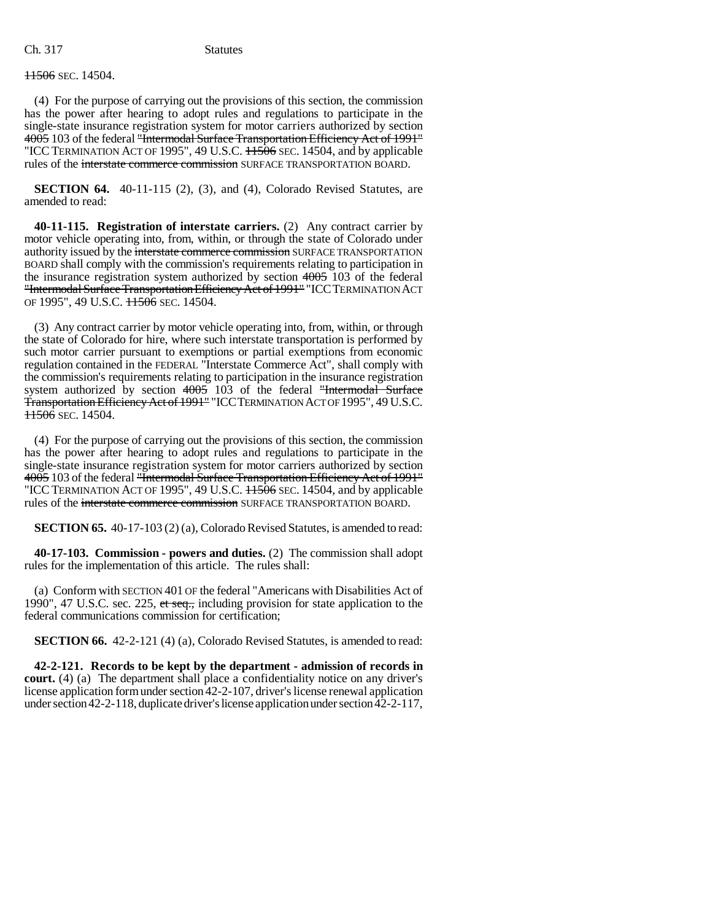## **11506** SEC. 14504.

(4) For the purpose of carrying out the provisions of this section, the commission has the power after hearing to adopt rules and regulations to participate in the single-state insurance registration system for motor carriers authorized by section 4005 103 of the federal "Intermodal Surface Transportation Efficiency Act of 1991" "ICC TERMINATION ACT OF 1995", 49 U.S.C.  $\overline{11506}$  SEC. 14504, and by applicable rules of the interstate commerce commission SURFACE TRANSPORTATION BOARD.

**SECTION 64.** 40-11-115 (2), (3), and (4), Colorado Revised Statutes, are amended to read:

**40-11-115. Registration of interstate carriers.** (2) Any contract carrier by motor vehicle operating into, from, within, or through the state of Colorado under authority issued by the interstate commerce commission SURFACE TRANSPORTATION BOARD shall comply with the commission's requirements relating to participation in the insurance registration system authorized by section 4005 103 of the federal "Intermodal Surface Transportation Efficiency Act of 1991" "ICCTERMINATION ACT OF 1995", 49 U.S.C.  $11506$  SEC. 14504.

(3) Any contract carrier by motor vehicle operating into, from, within, or through the state of Colorado for hire, where such interstate transportation is performed by such motor carrier pursuant to exemptions or partial exemptions from economic regulation contained in the FEDERAL "Interstate Commerce Act", shall comply with the commission's requirements relating to participation in the insurance registration system authorized by section 4005 103 of the federal "Intermodal Surface Transportation Efficiency Act of 1991" "ICCTERMINATION ACT OF 1995", 49 U.S.C.  $11506$  SEC. 14504.

(4) For the purpose of carrying out the provisions of this section, the commission has the power after hearing to adopt rules and regulations to participate in the single-state insurance registration system for motor carriers authorized by section 4005 103 of the federal "Intermodal Surface Transportation Efficiency Act of 1991" "ICC TERMINATION ACT OF 1995", 49 U.S.C.  $H\overline{506}$  SEC. 14504, and by applicable rules of the interstate commerce commission SURFACE TRANSPORTATION BOARD.

**SECTION 65.** 40-17-103 (2) (a), Colorado Revised Statutes, is amended to read:

**40-17-103. Commission - powers and duties.** (2) The commission shall adopt rules for the implementation of this article. The rules shall:

(a) Conform with SECTION 401 OF the federal "Americans with Disabilities Act of 1990", 47 U.S.C. sec. 225, et seq., including provision for state application to the federal communications commission for certification;

**SECTION 66.** 42-2-121 (4) (a), Colorado Revised Statutes, is amended to read:

**42-2-121. Records to be kept by the department - admission of records in court.** (4) (a) The department shall place a confidentiality notice on any driver's license application form under section 42-2-107, driver's license renewal application under section 42-2-118, duplicate driver's license application under section 42-2-117,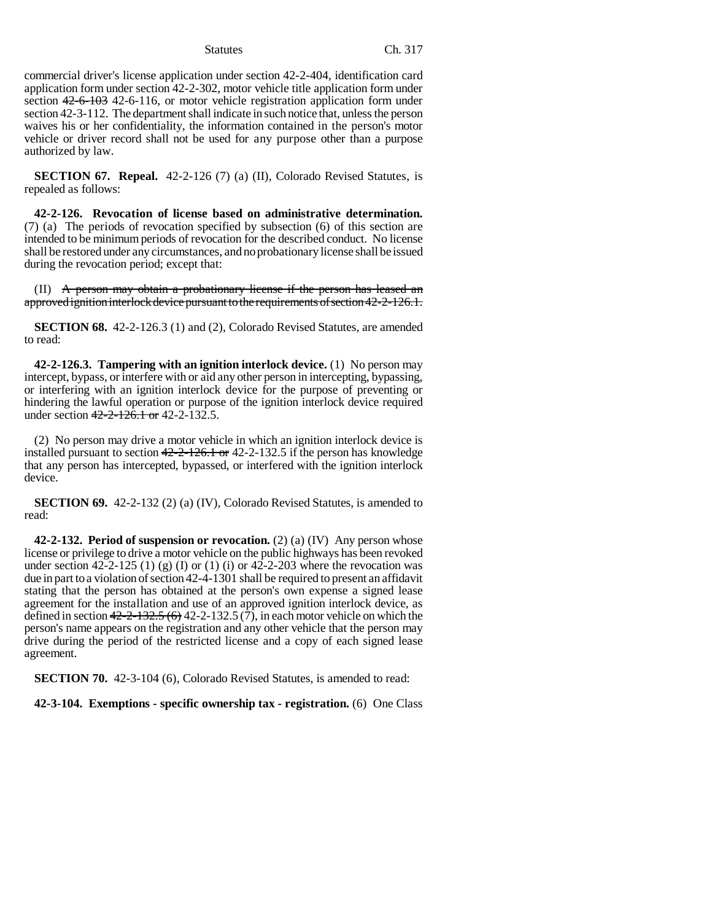commercial driver's license application under section 42-2-404, identification card application form under section 42-2-302, motor vehicle title application form under section 42-6-103 42-6-116, or motor vehicle registration application form under section 42-3-112. The department shall indicate in such notice that, unless the person waives his or her confidentiality, the information contained in the person's motor vehicle or driver record shall not be used for any purpose other than a purpose authorized by law.

**SECTION 67. Repeal.** 42-2-126 (7) (a) (II), Colorado Revised Statutes, is repealed as follows:

**42-2-126. Revocation of license based on administrative determination.** (7) (a) The periods of revocation specified by subsection (6) of this section are intended to be minimum periods of revocation for the described conduct. No license shall be restored under any circumstances, and no probationary license shall be issued during the revocation period; except that:

(II) A person may obtain a probationary license if the person has leased an approved ignition interlock device pursuant to the requirements of section 42-2-126.1.

**SECTION 68.** 42-2-126.3 (1) and (2), Colorado Revised Statutes, are amended to read:

**42-2-126.3. Tampering with an ignition interlock device.** (1) No person may intercept, bypass, or interfere with or aid any other person in intercepting, bypassing, or interfering with an ignition interlock device for the purpose of preventing or hindering the lawful operation or purpose of the ignition interlock device required under section  $42 - 2 - 126$ . 1 or 42-2-132.5.

(2) No person may drive a motor vehicle in which an ignition interlock device is installed pursuant to section 42-2-126.1 or 42-2-132.5 if the person has knowledge that any person has intercepted, bypassed, or interfered with the ignition interlock device.

**SECTION 69.** 42-2-132 (2) (a) (IV), Colorado Revised Statutes, is amended to read:

**42-2-132. Period of suspension or revocation.** (2) (a) (IV) Any person whose license or privilege to drive a motor vehicle on the public highways has been revoked under section  $42-2-125$  (1) (g) (I) or (1) (i) or  $42-2-203$  where the revocation was due in part to a violation of section 42-4-1301 shall be required to present an affidavit stating that the person has obtained at the person's own expense a signed lease agreement for the installation and use of an approved ignition interlock device, as defined in section  $42-2-132.5(6)$  42-2-132.5 (7), in each motor vehicle on which the person's name appears on the registration and any other vehicle that the person may drive during the period of the restricted license and a copy of each signed lease agreement.

**SECTION 70.** 42-3-104 (6), Colorado Revised Statutes, is amended to read:

**42-3-104. Exemptions - specific ownership tax - registration.** (6) One Class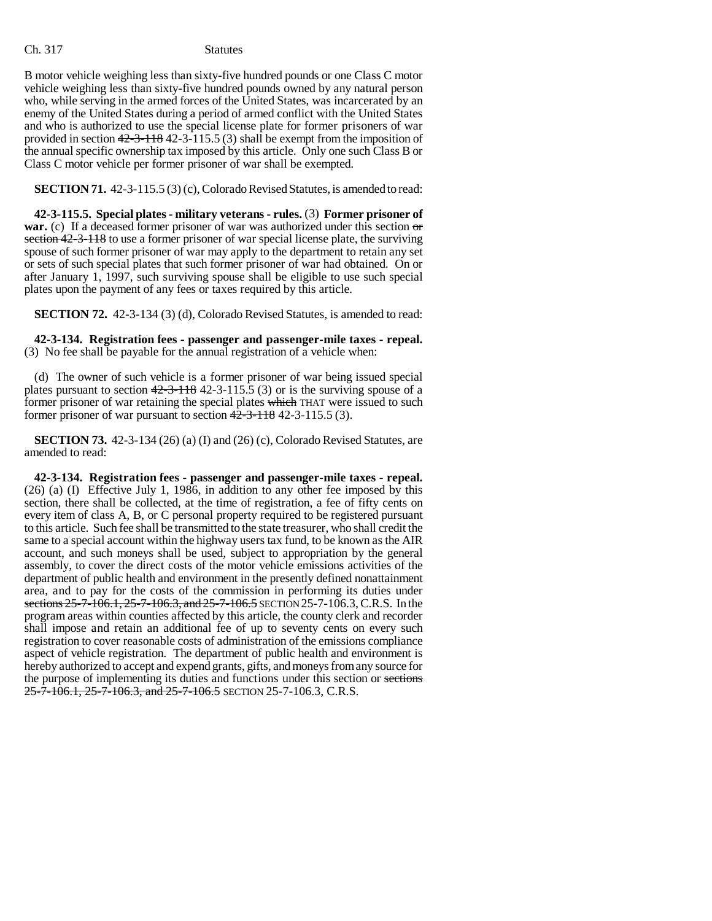B motor vehicle weighing less than sixty-five hundred pounds or one Class C motor vehicle weighing less than sixty-five hundred pounds owned by any natural person who, while serving in the armed forces of the United States, was incarcerated by an enemy of the United States during a period of armed conflict with the United States and who is authorized to use the special license plate for former prisoners of war provided in section 42-3-118 42-3-115.5 (3) shall be exempt from the imposition of the annual specific ownership tax imposed by this article. Only one such Class B or Class C motor vehicle per former prisoner of war shall be exempted.

**SECTION 71.** 42-3-115.5 (3) (c), Colorado Revised Statutes, is amended to read:

**42-3-115.5. Special plates - military veterans - rules.** (3) **Former prisoner of war.** (c) If a deceased former prisoner of war was authorized under this section or section 42-3-118 to use a former prisoner of war special license plate, the surviving spouse of such former prisoner of war may apply to the department to retain any set or sets of such special plates that such former prisoner of war had obtained. On or after January 1, 1997, such surviving spouse shall be eligible to use such special plates upon the payment of any fees or taxes required by this article.

**SECTION 72.** 42-3-134 (3) (d), Colorado Revised Statutes, is amended to read:

**42-3-134. Registration fees - passenger and passenger-mile taxes - repeal.** (3) No fee shall be payable for the annual registration of a vehicle when:

(d) The owner of such vehicle is a former prisoner of war being issued special plates pursuant to section  $42-3-118$  42-3-115.5 (3) or is the surviving spouse of a former prisoner of war retaining the special plates which THAT were issued to such former prisoner of war pursuant to section  $42-3-118$  42-3-115.5 (3).

**SECTION 73.** 42-3-134 (26) (a) (I) and (26) (c), Colorado Revised Statutes, are amended to read:

**42-3-134. Registration fees - passenger and passenger-mile taxes - repeal.** (26) (a) (I) Effective July 1, 1986, in addition to any other fee imposed by this section, there shall be collected, at the time of registration, a fee of fifty cents on every item of class A, B, or C personal property required to be registered pursuant to this article. Such fee shall be transmitted to the state treasurer, who shall credit the same to a special account within the highway users tax fund, to be known as the AIR account, and such moneys shall be used, subject to appropriation by the general assembly, to cover the direct costs of the motor vehicle emissions activities of the department of public health and environment in the presently defined nonattainment area, and to pay for the costs of the commission in performing its duties under sections 25-7-106.1, 25-7-106.3, and 25-7-106.5 SECTION 25-7-106.3, C.R.S. In the program areas within counties affected by this article, the county clerk and recorder shall impose and retain an additional fee of up to seventy cents on every such registration to cover reasonable costs of administration of the emissions compliance aspect of vehicle registration. The department of public health and environment is hereby authorized to accept and expend grants, gifts, and moneys from any source for the purpose of implementing its duties and functions under this section or sections  $25$ -7-106.1,  $25$ -7-106.3, and  $25$ -7-106.5 SECTION 25-7-106.3, C.R.S.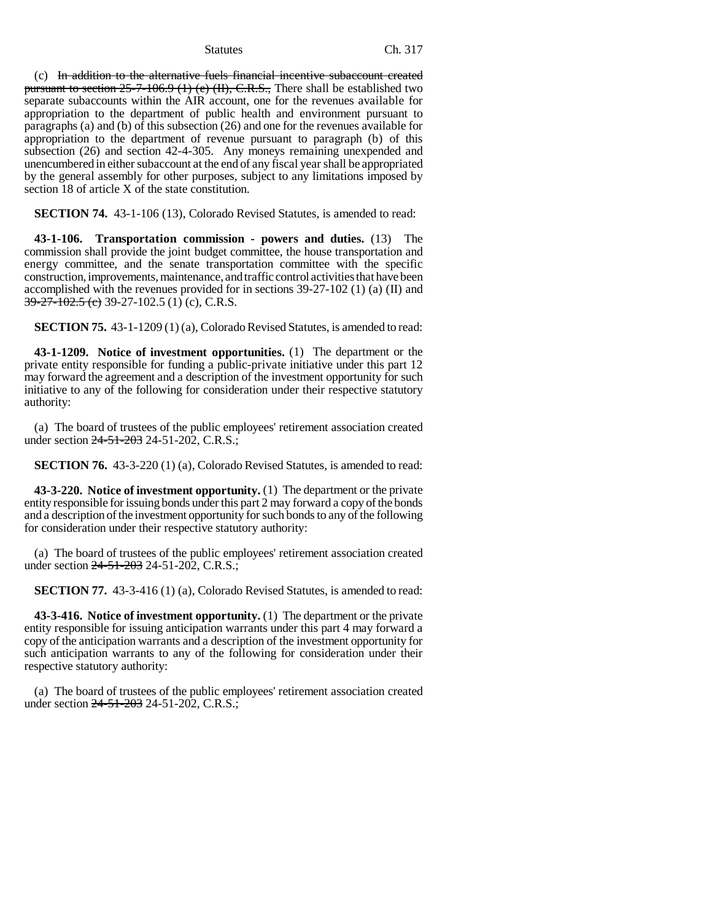(c) In addition to the alternative fuels financial incentive subaccount created pursuant to section  $25-7-106.9$  (1) (e) (II), C.R.S., There shall be established two separate subaccounts within the AIR account, one for the revenues available for appropriation to the department of public health and environment pursuant to paragraphs (a) and (b) of this subsection (26) and one for the revenues available for appropriation to the department of revenue pursuant to paragraph (b) of this subsection (26) and section 42-4-305. Any moneys remaining unexpended and unencumbered in either subaccount at the end of any fiscal year shall be appropriated by the general assembly for other purposes, subject to any limitations imposed by section 18 of article X of the state constitution.

**SECTION 74.** 43-1-106 (13), Colorado Revised Statutes, is amended to read:

**43-1-106. Transportation commission - powers and duties.** (13) The commission shall provide the joint budget committee, the house transportation and energy committee, and the senate transportation committee with the specific construction, improvements, maintenance, and traffic control activities that have been accomplished with the revenues provided for in sections 39-27-102 (1) (a) (II) and  $39-27-102.5$  (e) 39-27-102.5 (1) (c), C.R.S.

**SECTION 75.** 43-1-1209 (1) (a), Colorado Revised Statutes, is amended to read:

**43-1-1209. Notice of investment opportunities.** (1) The department or the private entity responsible for funding a public-private initiative under this part 12 may forward the agreement and a description of the investment opportunity for such initiative to any of the following for consideration under their respective statutory authority:

(a) The board of trustees of the public employees' retirement association created under section 24-51-203 24-51-202, C.R.S.;

**SECTION 76.** 43-3-220 (1) (a), Colorado Revised Statutes, is amended to read:

**43-3-220. Notice of investment opportunity.** (1) The department or the private entity responsible for issuing bonds under this part 2 may forward a copy of the bonds and a description of the investment opportunity for such bonds to any of the following for consideration under their respective statutory authority:

(a) The board of trustees of the public employees' retirement association created under section 24-51-203 24-51-202, C.R.S.;

**SECTION 77.** 43-3-416 (1) (a), Colorado Revised Statutes, is amended to read:

**43-3-416. Notice of investment opportunity.** (1) The department or the private entity responsible for issuing anticipation warrants under this part 4 may forward a copy of the anticipation warrants and a description of the investment opportunity for such anticipation warrants to any of the following for consideration under their respective statutory authority:

(a) The board of trustees of the public employees' retirement association created under section 24-51-203 24-51-202, C.R.S.;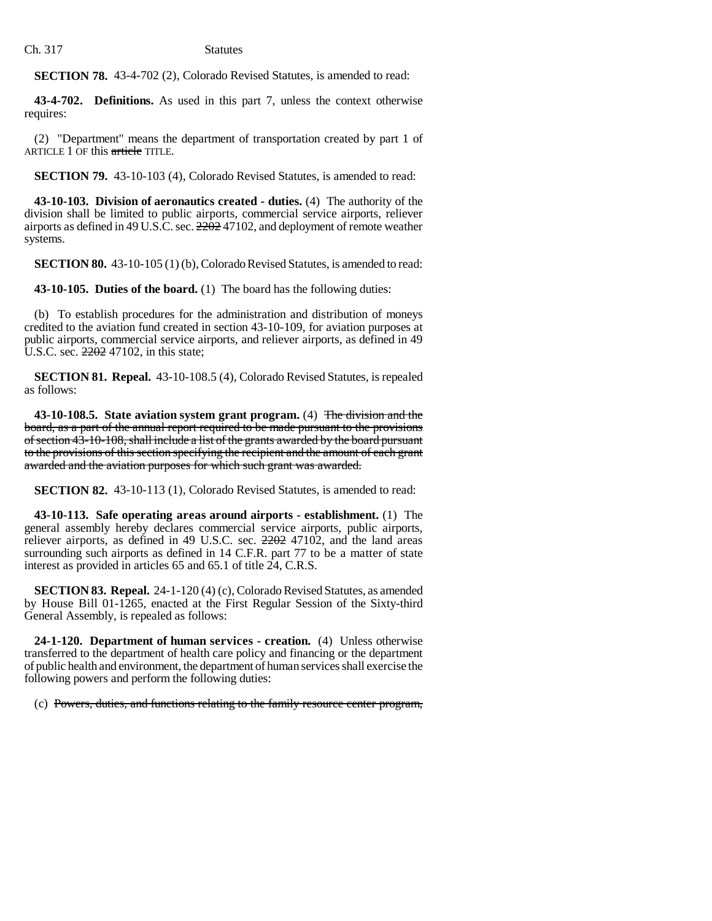**SECTION 78.** 43-4-702 (2), Colorado Revised Statutes, is amended to read:

**43-4-702. Definitions.** As used in this part 7, unless the context otherwise requires:

(2) "Department" means the department of transportation created by part 1 of ARTICLE 1 OF this article TITLE.

**SECTION 79.** 43-10-103 (4), Colorado Revised Statutes, is amended to read:

**43-10-103. Division of aeronautics created - duties.** (4) The authority of the division shall be limited to public airports, commercial service airports, reliever airports as defined in 49 U.S.C. sec. 2202 47102, and deployment of remote weather systems.

**SECTION 80.** 43-10-105 (1) (b), Colorado Revised Statutes, is amended to read:

**43-10-105. Duties of the board.** (1) The board has the following duties:

(b) To establish procedures for the administration and distribution of moneys credited to the aviation fund created in section 43-10-109, for aviation purposes at public airports, commercial service airports, and reliever airports, as defined in 49 U.S.C. sec. 2202 47102, in this state;

**SECTION 81. Repeal.** 43-10-108.5 (4), Colorado Revised Statutes, is repealed as follows:

**43-10-108.5. State aviation system grant program.** (4) The division and the board, as a part of the annual report required to be made pursuant to the provisions of section 43-10-108, shall include a list of the grants awarded by the board pursuant to the provisions of this section specifying the recipient and the amount of each grant awarded and the aviation purposes for which such grant was awarded.

**SECTION 82.** 43-10-113 (1), Colorado Revised Statutes, is amended to read:

**43-10-113. Safe operating areas around airports - establishment.** (1) The general assembly hereby declares commercial service airports, public airports, reliever airports, as defined in 49 U.S.C. sec.  $2202$  47102, and the land areas surrounding such airports as defined in 14 C.F.R. part 77 to be a matter of state interest as provided in articles 65 and 65.1 of title 24, C.R.S.

**SECTION 83. Repeal.** 24-1-120 (4) (c), Colorado Revised Statutes, as amended by House Bill 01-1265, enacted at the First Regular Session of the Sixty-third General Assembly, is repealed as follows:

**24-1-120. Department of human services - creation.** (4) Unless otherwise transferred to the department of health care policy and financing or the department of public health and environment, the department of human services shall exercise the following powers and perform the following duties:

(c) Powers, duties, and functions relating to the family resource center program,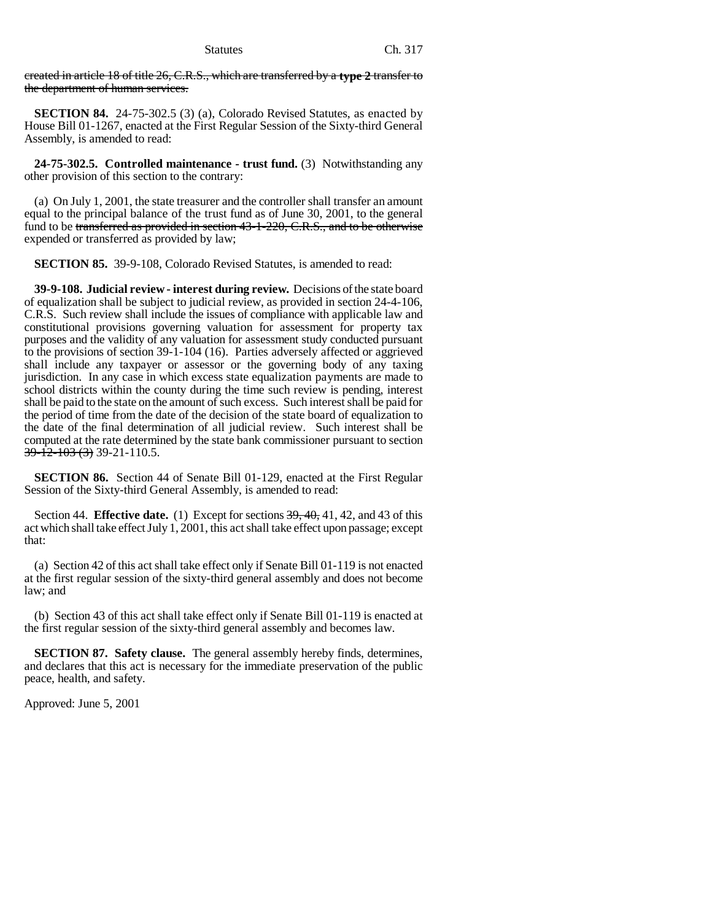created in article 18 of title 26, C.R.S., which are transferred by a **type 2** transfer to the department of human services.

**SECTION 84.** 24-75-302.5 (3) (a), Colorado Revised Statutes, as enacted by House Bill 01-1267, enacted at the First Regular Session of the Sixty-third General Assembly, is amended to read:

**24-75-302.5. Controlled maintenance - trust fund.** (3) Notwithstanding any other provision of this section to the contrary:

(a) On July 1, 2001, the state treasurer and the controller shall transfer an amount equal to the principal balance of the trust fund as of June 30, 2001, to the general fund to be transferred as provided in section 43-1-220, C.R.S., and to be otherwise expended or transferred as provided by law;

**SECTION 85.** 39-9-108, Colorado Revised Statutes, is amended to read:

**39-9-108. Judicial review - interest during review.** Decisions of the state board of equalization shall be subject to judicial review, as provided in section 24-4-106, C.R.S. Such review shall include the issues of compliance with applicable law and constitutional provisions governing valuation for assessment for property tax purposes and the validity of any valuation for assessment study conducted pursuant to the provisions of section 39-1-104 (16). Parties adversely affected or aggrieved shall include any taxpayer or assessor or the governing body of any taxing jurisdiction. In any case in which excess state equalization payments are made to school districts within the county during the time such review is pending, interest shall be paid to the state on the amount of such excess. Such interest shall be paid for the period of time from the date of the decision of the state board of equalization to the date of the final determination of all judicial review. Such interest shall be computed at the rate determined by the state bank commissioner pursuant to section 39-12-103 (3) 39-21-110.5.

**SECTION 86.** Section 44 of Senate Bill 01-129, enacted at the First Regular Session of the Sixty-third General Assembly, is amended to read:

Section 44. **Effective date.** (1) Except for sections 39, 40, 41, 42, and 43 of this act which shall take effect July 1, 2001, this act shall take effect upon passage; except that:

(a) Section 42 of this act shall take effect only if Senate Bill 01-119 is not enacted at the first regular session of the sixty-third general assembly and does not become law; and

(b) Section 43 of this act shall take effect only if Senate Bill 01-119 is enacted at the first regular session of the sixty-third general assembly and becomes law.

**SECTION 87. Safety clause.** The general assembly hereby finds, determines, and declares that this act is necessary for the immediate preservation of the public peace, health, and safety.

Approved: June 5, 2001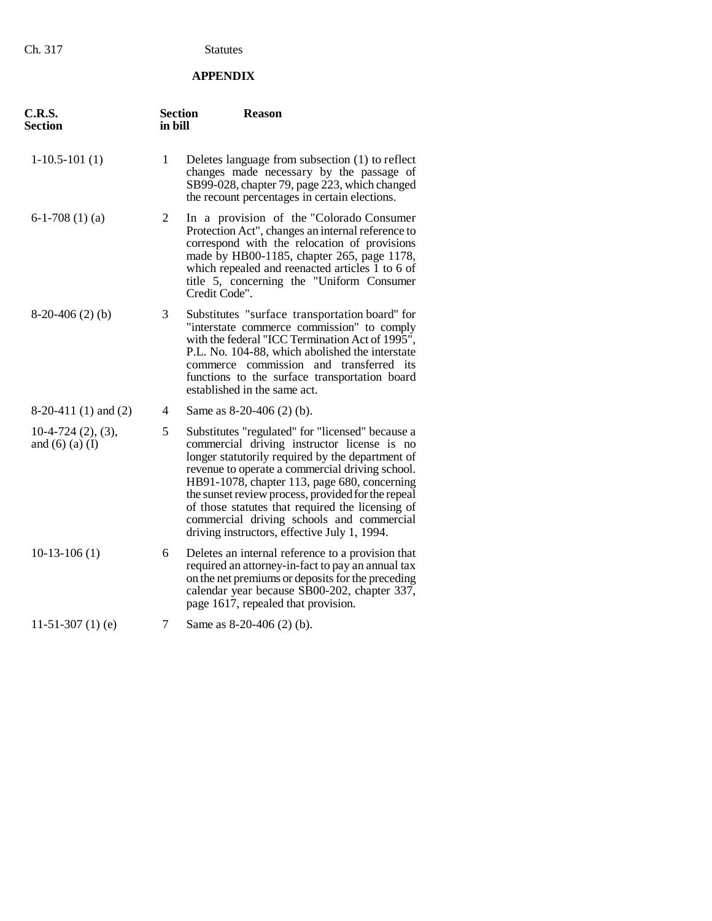# **APPENDIX**

| C.R.S.<br>Section                               | <b>Section</b><br>in bill | <b>Reason</b>                                                                                                                                                                                                                                                                                                                                                                                                                                                 |
|-------------------------------------------------|---------------------------|---------------------------------------------------------------------------------------------------------------------------------------------------------------------------------------------------------------------------------------------------------------------------------------------------------------------------------------------------------------------------------------------------------------------------------------------------------------|
| $1-10.5-101(1)$                                 | 1                         | Deletes language from subsection (1) to reflect<br>changes made necessary by the passage of<br>SB99-028, chapter 79, page 223, which changed<br>the recount percentages in certain elections.                                                                                                                                                                                                                                                                 |
| $6-1-708(1)(a)$                                 | 2                         | In a provision of the "Colorado Consumer<br>Protection Act", changes an internal reference to<br>correspond with the relocation of provisions<br>made by HB00-1185, chapter 265, page 1178,<br>which repealed and reenacted articles 1 to 6 of<br>title 5, concerning the "Uniform Consumer<br>Credit Code".                                                                                                                                                  |
| $8-20-406(2)$ (b)                               | 3                         | Substitutes "surface transportation board" for<br>"interstate commerce commission" to comply<br>with the federal "ICC Termination Act of 1995",<br>P.L. No. 104-88, which abolished the interstate<br>commerce commission and transferred its<br>functions to the surface transportation board<br>established in the same act.                                                                                                                                |
| $8-20-411(1)$ and $(2)$                         | 4                         | Same as 8-20-406 (2) (b).                                                                                                                                                                                                                                                                                                                                                                                                                                     |
| $10-4-724$ $(2), (3),$<br>and $(6)$ $(a)$ $(I)$ | 5                         | Substitutes "regulated" for "licensed" because a<br>commercial driving instructor license is no<br>longer statutorily required by the department of<br>revenue to operate a commercial driving school.<br>HB91-1078, chapter 113, page 680, concerning<br>the sunset review process, provided for the repeal<br>of those statutes that required the licensing of<br>commercial driving schools and commercial<br>driving instructors, effective July 1, 1994. |
| $10-13-106(1)$                                  | 6                         | Deletes an internal reference to a provision that<br>required an attorney-in-fact to pay an annual tax<br>on the net premiums or deposits for the preceding<br>calendar year because SB00-202, chapter 337,<br>page 1617, repealed that provision.                                                                                                                                                                                                            |
| 11-51-307 $(1)$ $(e)$                           | 7                         | Same as 8-20-406 (2) (b).                                                                                                                                                                                                                                                                                                                                                                                                                                     |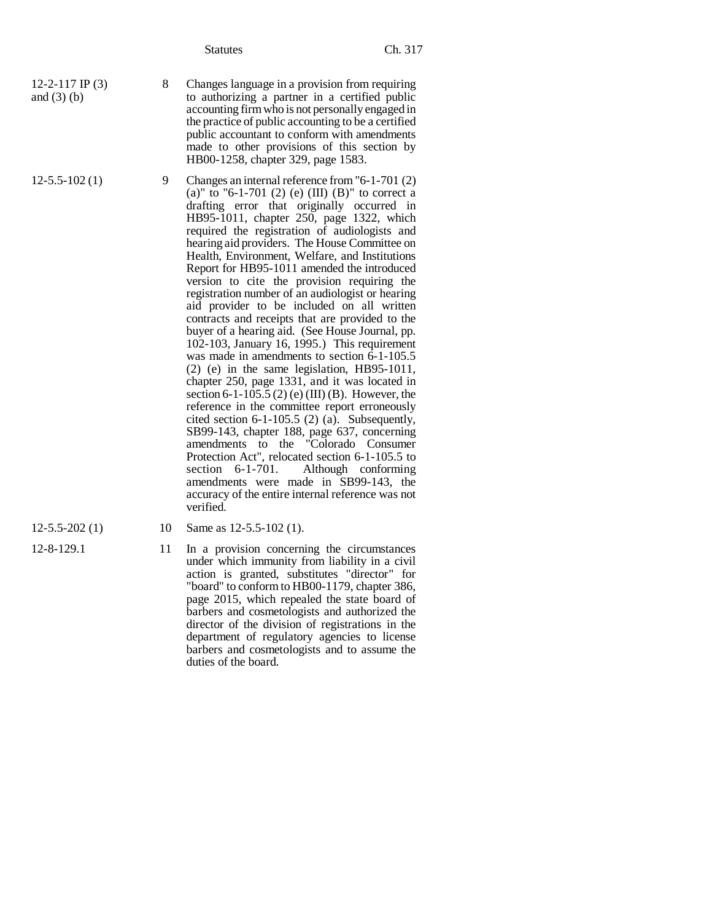- 12-2-117 IP (3) and  $(3)$  (b)
- 
- 8 Changes language in a provision from requiring to authorizing a partner in a certified public accounting firm who is not personally engaged in the practice of public accounting to be a certified public accountant to conform with amendments made to other provisions of this section by HB00-1258, chapter 329, page 1583.
- 12-5.5-102 (1) 9 Changes an internal reference from "6-1-701 (2) (a)" to "6-1-701 (2) (e) (III) (B)" to correct a drafting error that originally occurred in HB95-1011, chapter 250, page 1322, which required the registration of audiologists and hearing aid providers. The House Committee on Health, Environment, Welfare, and Institutions Report for HB95-1011 amended the introduced version to cite the provision requiring the registration number of an audiologist or hearing aid provider to be included on all written contracts and receipts that are provided to the buyer of a hearing aid. (See House Journal, pp. 102-103, January 16, 1995.) This requirement was made in amendments to section 6-1-105.5 (2) (e) in the same legislation, HB95-1011, chapter 250, page 1331, and it was located in section 6-1-105.5 (2) (e) (III) (B). However, the reference in the committee report erroneously cited section 6-1-105.5 (2) (a). Subsequently, SB99-143, chapter 188, page 637, concerning amendments to the "Colorado Consumer Protection Act", relocated section 6-1-105.5 to section 6-1-701. Although conforming amendments were made in SB99-143, the accuracy of the entire internal reference was not verified.
- 
- 
- 12-5.5-202 (1) 10 Same as 12-5.5-102 (1).
- 12-8-129.1 11 In a provision concerning the circumstances under which immunity from liability in a civil action is granted, substitutes "director" for "board" to conform to HB00-1179, chapter 386, page 2015, which repealed the state board of barbers and cosmetologists and authorized the director of the division of registrations in the department of regulatory agencies to license barbers and cosmetologists and to assume the duties of the board.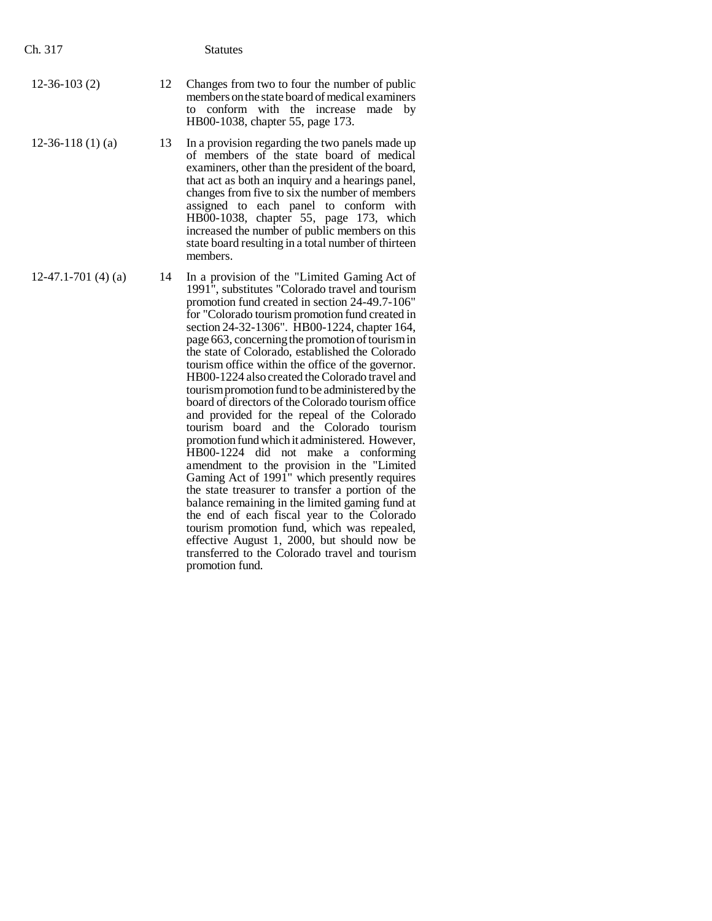- 12-36-103 (2) 12 Changes from two to four the number of public members on the state board of medical examiners to conform with the increase made by HB00-1038, chapter 55, page 173.
- 12-36-118 (1) (a) 13 In a provision regarding the two panels made up of members of the state board of medical examiners, other than the president of the board, that act as both an inquiry and a hearings panel, changes from five to six the number of members assigned to each panel to conform with HB00-1038, chapter 55, page 173, which increased the number of public members on this state board resulting in a total number of thirteen members.
- $12-47.1-701(4)$  (a) 14 In a provision of the "Limited Gaming Act of 1991", substitutes "Colorado travel and tourism promotion fund created in section 24-49.7-106" for "Colorado tourism promotion fund created in section 24-32-1306". HB00-1224, chapter 164, page 663, concerning the promotion of tourism in the state of Colorado, established the Colorado tourism office within the office of the governor. HB00-1224 also created the Colorado travel and tourism promotion fund to be administered by the board of directors of the Colorado tourism office and provided for the repeal of the Colorado tourism board and the Colorado tourism promotion fund which it administered. However, HB00-1224 did not make a conforming amendment to the provision in the "Limited Gaming Act of 1991" which presently requires the state treasurer to transfer a portion of the balance remaining in the limited gaming fund at the end of each fiscal year to the Colorado tourism promotion fund, which was repealed, effective August 1, 2000, but should now be transferred to the Colorado travel and tourism promotion fund.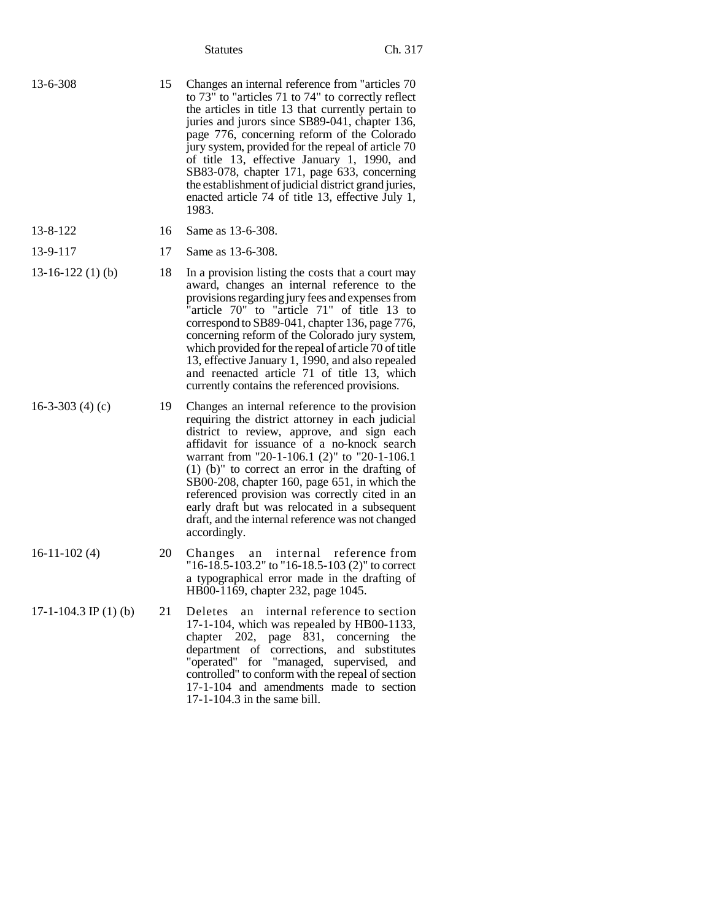| 13-6-308 | 15 | Changes an internal reference from "articles 70<br>to 73" to "articles 71 to 74" to correctly reflect<br>the articles in title 13 that currently pertain to<br>juries and jurors since SB89-041, chapter 136,<br>page 776, concerning reform of the Colorado<br>jury system, provided for the repeal of article 70<br>of title 13, effective January 1, 1990, and<br>SB83-078, chapter 171, page 633, concerning<br>the establishment of judicial district grand juries,<br>enacted article 74 of title 13, effective July 1,<br>1983. |
|----------|----|----------------------------------------------------------------------------------------------------------------------------------------------------------------------------------------------------------------------------------------------------------------------------------------------------------------------------------------------------------------------------------------------------------------------------------------------------------------------------------------------------------------------------------------|
| 13-8-122 |    | 16 Same as 13-6-308.                                                                                                                                                                                                                                                                                                                                                                                                                                                                                                                   |

| 13-8-122 | 16 | S |
|----------|----|---|
|          |    |   |

- 13-16-122 (1) (b) 18 In a provision listing the costs that a court may award, changes an internal reference to the provisions regarding jury fees and expenses from "article 70" to "article 71" of title 13 to correspond to SB89-041, chapter 136, page 776, concerning reform of the Colorado jury system, which provided for the repeal of article 70 of title 13, effective January 1, 1990, and also repealed and reenacted article 71 of title 13, which currently contains the referenced provisions.
- 16-3-303 (4) (c) 19 Changes an internal reference to the provision requiring the district attorney in each judicial district to review, approve, and sign each affidavit for issuance of a no-knock search warrant from "20-1-106.1 (2)" to "20-1-106.1 (1) (b)" to correct an error in the drafting of SB00-208, chapter 160, page 651, in which the referenced provision was correctly cited in an early draft but was relocated in a subsequent draft, and the internal reference was not changed accordingly.
- 16-11-102 (4) 20 Changes an internal reference from "16-18.5-103.2" to "16-18.5-103 (2)" to correct a typographical error made in the drafting of HB00-1169, chapter 232, page 1045.
- 17-1-104.3 IP (1) (b) 21 Deletes an internal reference to section 17-1-104, which was repealed by HB00-1133, chapter 202, page 831, concerning the department of corrections, and substitutes "operated" for "managed, supervised, and controlled" to conform with the repeal of section 17-1-104 and amendments made to section 17-1-104.3 in the same bill.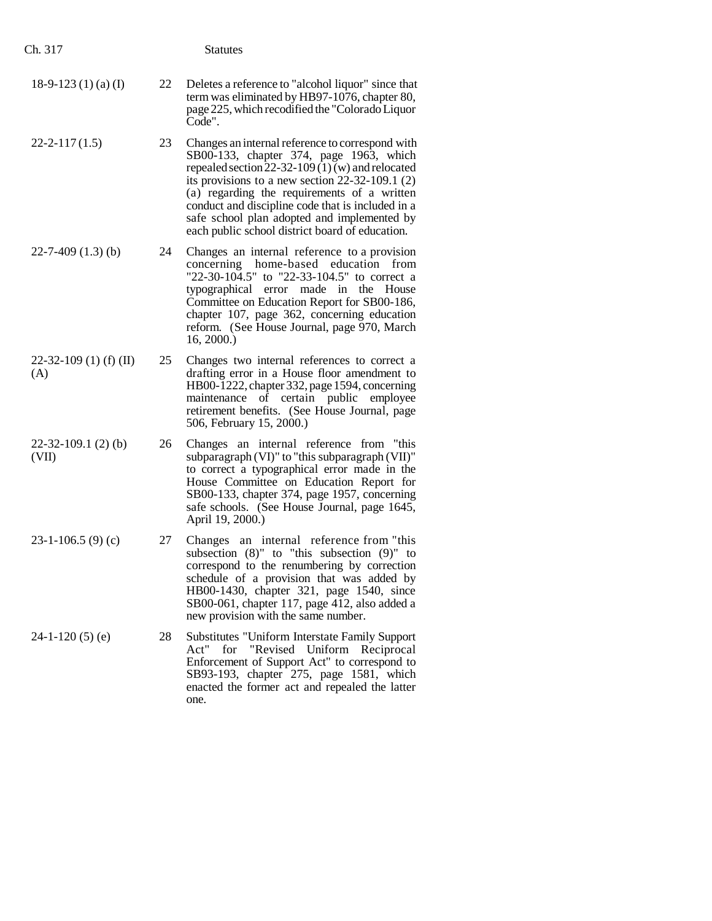| Ch. 317                       |    | <b>Statutes</b>                                                                                                                                                                                                                                                                                                                                                                                            |
|-------------------------------|----|------------------------------------------------------------------------------------------------------------------------------------------------------------------------------------------------------------------------------------------------------------------------------------------------------------------------------------------------------------------------------------------------------------|
| 18-9-123 (1) (a) (I)          | 22 | Deletes a reference to "alcohol liquor" since that<br>term was eliminated by HB97-1076, chapter 80,<br>page 225, which recodified the "Colorado Liquor<br>Code".                                                                                                                                                                                                                                           |
| $22 - 2 - 117(1.5)$           | 23 | Changes an internal reference to correspond with<br>SB00-133, chapter 374, page 1963, which<br>repealed section $22-32-109(1)(w)$ and relocated<br>its provisions to a new section $22-32-109.1$ (2)<br>(a) regarding the requirements of a written<br>conduct and discipline code that is included in a<br>safe school plan adopted and implemented by<br>each public school district board of education. |
| $22 - 7 - 409$ (1.3) (b)      | 24 | Changes an internal reference to a provision<br>concerning home-based education<br>from<br>"22-30-104.5" to "22-33-104.5" to correct a<br>made in the House<br>typographical error<br>Committee on Education Report for SB00-186,<br>chapter 107, page 362, concerning education<br>reform. (See House Journal, page 970, March<br>16, 2000.                                                               |
| 22-32-109 (1) (f) (II)<br>(A) | 25 | Changes two internal references to correct a<br>drafting error in a House floor amendment to<br>HB00-1222, chapter 332, page 1594, concerning<br>maintenance of certain public employee<br>retirement benefits. (See House Journal, page<br>506, February 15, 2000.)                                                                                                                                       |
| $22-32-109.1(2)$ (b)<br>(VII) | 26 | Changes an internal reference from "this<br>subparagraph (VI)" to "this subparagraph (VII)"<br>to correct a typographical error made in the<br>House Committee on Education Report for<br>SB00-133, chapter 374, page 1957, concerning<br>safe schools. (See House Journal, page 1645,<br>April 19, 2000.)                                                                                                 |
| $23-1-106.5(9)(c)$            | 27 | Changes an internal reference from "this<br>subsection $(8)$ " to "this subsection $(9)$ " to<br>correspond to the renumbering by correction<br>schedule of a provision that was added by<br>HB00-1430, chapter 321, page 1540, since<br>SB00-061, chapter 117, page 412, also added a<br>new provision with the same number.                                                                              |
| $24-1-120(5)$ (e)             | 28 | <b>Substitutes "Uniform Interstate Family Support</b><br>Act"<br>for<br>"Revised<br>Uniform<br>Reciprocal<br>Enforcement of Support Act" to correspond to<br>SB93-193, chapter 275, page 1581, which<br>enacted the former act and repealed the latter<br>one.                                                                                                                                             |
|                               |    |                                                                                                                                                                                                                                                                                                                                                                                                            |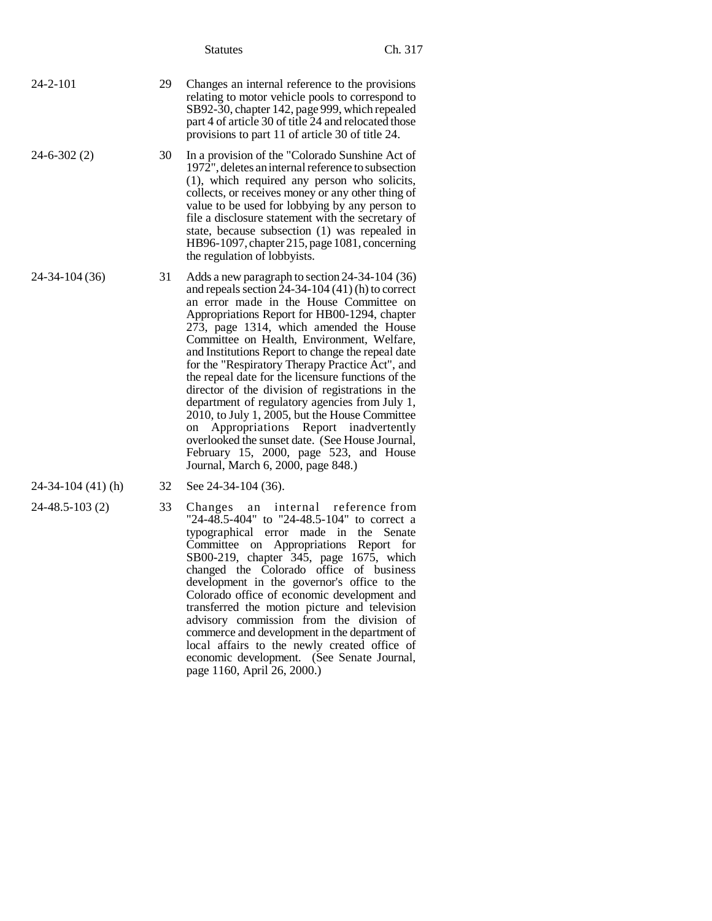- 24-2-101 29 Changes an internal reference to the provisions relating to motor vehicle pools to correspond to SB92-30, chapter 142, page 999, which repealed part 4 of article 30 of title 24 and relocated those provisions to part 11 of article 30 of title 24.
- 24-6-302 (2) 30 In a provision of the "Colorado Sunshine Act of 1972", deletes an internal reference to subsection (1), which required any person who solicits, collects, or receives money or any other thing of value to be used for lobbying by any person to file a disclosure statement with the secretary of state, because subsection (1) was repealed in HB96-1097, chapter 215, page 1081, concerning the regulation of lobbyists.
- 24-34-104 (36) 31 Adds a new paragraph to section 24-34-104 (36) and repeals section  $24-34-104(41)$  (h) to correct an error made in the House Committee on Appropriations Report for HB00-1294, chapter 273, page 1314, which amended the House Committee on Health, Environment, Welfare, and Institutions Report to change the repeal date for the "Respiratory Therapy Practice Act", and the repeal date for the licensure functions of the director of the division of registrations in the department of regulatory agencies from July 1, 2010, to July 1, 2005, but the House Committee on Appropriations Report inadvertently overlooked the sunset date. (See House Journal, February 15, 2000, page 523, and House Journal, March 6, 2000, page 848.)
- 
- 
- 24-34-104 (41) (h) 32 See 24-34-104 (36).
- 24-48.5-103 (2) 33 Changes an internal reference from "24-48.5-404" to "24-48.5-104" to correct a typographical error made in the Senate Committee on Appropriations Report for SB00-219, chapter 345, page 1675, which changed the Colorado office of business development in the governor's office to the Colorado office of economic development and transferred the motion picture and television advisory commission from the division of commerce and development in the department of local affairs to the newly created office of economic development. (See Senate Journal, page 1160, April 26, 2000.)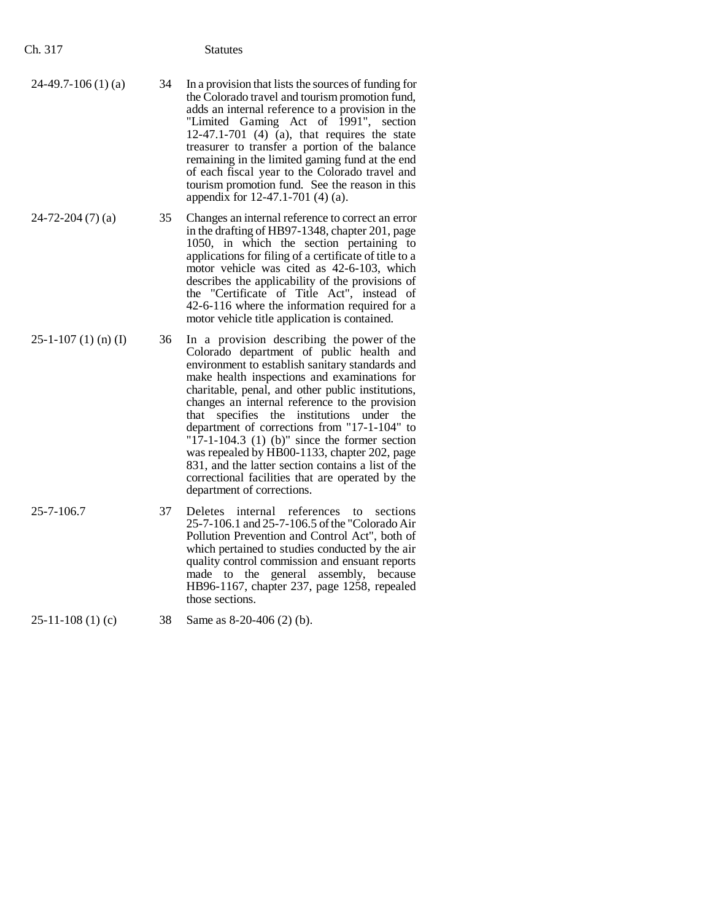| Ch. 317               |    | Statutes                                                                                                                                                                                                                                                                                                                                                                                                                                                                                                                                                     |
|-----------------------|----|--------------------------------------------------------------------------------------------------------------------------------------------------------------------------------------------------------------------------------------------------------------------------------------------------------------------------------------------------------------------------------------------------------------------------------------------------------------------------------------------------------------------------------------------------------------|
| $24-49.7-106(1)$ (a)  | 34 | In a provision that lists the sources of funding for<br>the Colorado travel and tourism promotion fund,<br>adds an internal reference to a provision in the<br>"Limited Gaming Act of 1991", section<br>$12-47.1-701$ (4) (a), that requires the state<br>treasurer to transfer a portion of the balance<br>remaining in the limited gaming fund at the end<br>of each fiscal year to the Colorado travel and<br>tourism promotion fund. See the reason in this<br>appendix for 12-47.1-701 (4) (a).                                                         |
| $24 - 72 - 204(7)(a)$ | 35 | Changes an internal reference to correct an error<br>in the drafting of HB97-1348, chapter 201, page<br>1050, in which the section pertaining to<br>applications for filing of a certificate of title to a<br>motor vehicle was cited as 42-6-103, which<br>describes the applicability of the provisions of<br>the "Certificate of Title Act", instead of<br>42-6-116 where the information required for a<br>motor vehicle title application is contained.                                                                                                 |
| $25-1-107(1)$ (n) (I) | 36 | In a provision describing the power of the<br>Colorado department of public health and<br>environment to establish sanitary standards and<br>make health inspections and examinations for<br>charitable, penal, and other public institutions,<br>changes an internal reference to the provision<br>specifies the institutions under<br>that<br>the<br>department of corrections from "17-1-104" to<br>"17-1-104.3 $(1)$ (b)" since the former section<br>was repealed by HB00-1133, chapter 202, page<br>831, and the latter section contains a list of the |

25-7-106.7 37 Deletes internal references to sections 25-7-106.1 and 25-7-106.5 of the "Colorado Air Pollution Prevention and Control Act", both of which pertained to studies conducted by the air quality control commission and ensuant reports made to the general assembly, because HB96-1167, chapter 237, page 1258, repealed those sections.

department of corrections.

correctional facilities that are operated by the

# 25-11-108 (1) (c) 38 Same as 8-20-406 (2) (b).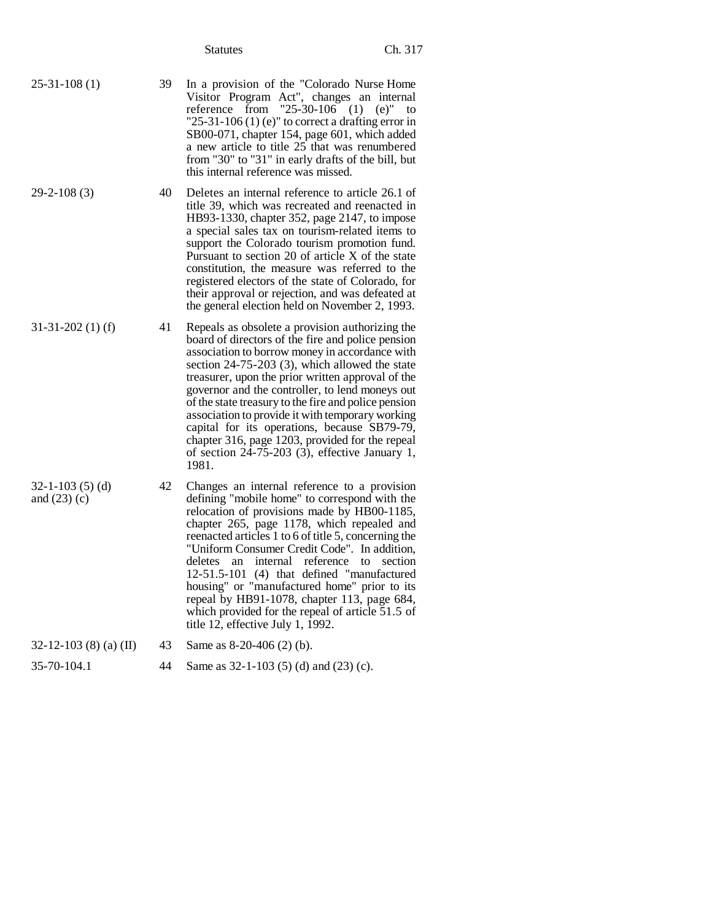- 25-31-108 (1) 39 In a provision of the "Colorado Nurse Home Visitor Program Act", changes an internal reference from "25-30-106 (1) (e)" to "25-31-106 (1) (e)" to correct a drafting error in SB00-071, chapter 154, page 601, which added a new article to title 25 that was renumbered from "30" to "31" in early drafts of the bill, but this internal reference was missed.
- 29-2-108 (3) 40 Deletes an internal reference to article 26.1 of title 39, which was recreated and reenacted in HB93-1330, chapter 352, page 2147, to impose a special sales tax on tourism-related items to support the Colorado tourism promotion fund. Pursuant to section 20 of article X of the state constitution, the measure was referred to the registered electors of the state of Colorado, for their approval or rejection, and was defeated at the general election held on November 2, 1993.
- 31-31-202 (1) (f) 41 Repeals as obsolete a provision authorizing the board of directors of the fire and police pension association to borrow money in accordance with section 24-75-203 (3), which allowed the state treasurer, upon the prior written approval of the governor and the controller, to lend moneys out of the state treasury to the fire and police pension association to provide it with temporary working capital for its operations, because SB79-79, chapter 316, page 1203, provided for the repeal of section 24-75-203 (3), effective January 1, 1981.
	- 42 Changes an internal reference to a provision defining "mobile home" to correspond with the relocation of provisions made by HB00-1185, chapter 265, page 1178, which repealed and reenacted articles 1 to 6 of title 5, concerning the "Uniform Consumer Credit Code". In addition, deletes an internal reference to section 12-51.5-101 (4) that defined "manufactured housing" or "manufactured home" prior to its repeal by HB91-1078, chapter 113, page 684, which provided for the repeal of article 51.5 of title 12, effective July 1, 1992.
- $32-12-103$  (8) (a) (II) 43 Same as 8-20-406 (2) (b).
- 
- 35-70-104.1 44 Same as 32-1-103 (5) (d) and (23) (c).

- 32-1-103 (5) (d)
- and  $(23)$  (c)
	-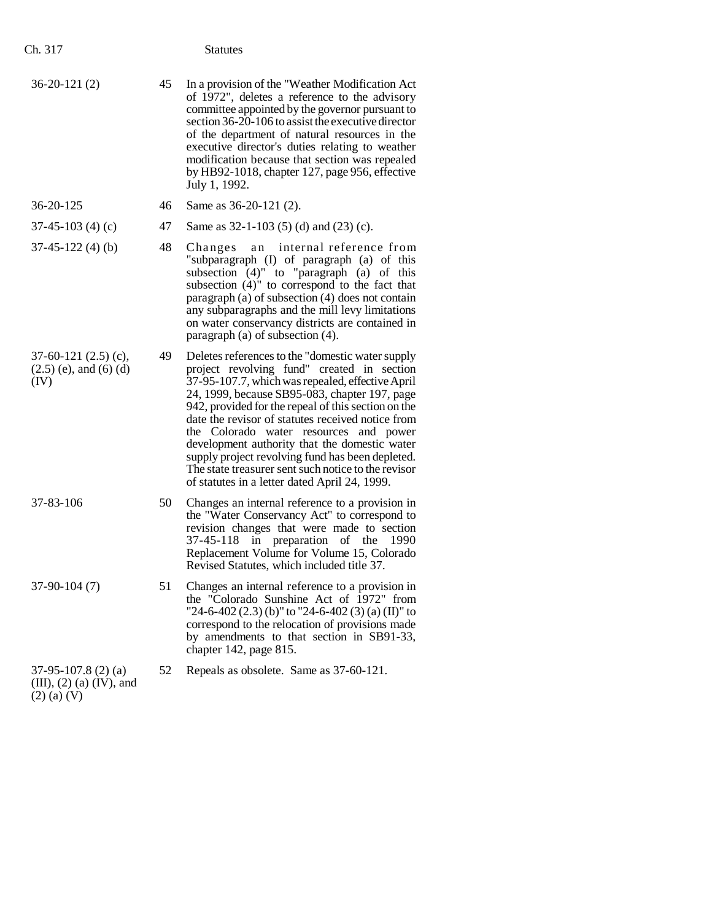| Ch. 317                                                                |    | <b>Statutes</b>                                                                                                                                                                                                                                                                                                                                                                                                                                                                                                                                                         |
|------------------------------------------------------------------------|----|-------------------------------------------------------------------------------------------------------------------------------------------------------------------------------------------------------------------------------------------------------------------------------------------------------------------------------------------------------------------------------------------------------------------------------------------------------------------------------------------------------------------------------------------------------------------------|
| $36-20-121(2)$                                                         | 45 | In a provision of the "Weather Modification Act<br>of 1972", deletes a reference to the advisory<br>committee appointed by the governor pursuant to<br>section 36-20-106 to assist the executive director<br>of the department of natural resources in the<br>executive director's duties relating to weather<br>modification because that section was repealed<br>by HB92-1018, chapter 127, page 956, effective<br>July 1, 1992.                                                                                                                                      |
| 36-20-125                                                              | 46 | Same as 36-20-121 (2).                                                                                                                                                                                                                                                                                                                                                                                                                                                                                                                                                  |
| $37-45-103(4)(c)$                                                      | 47 | Same as $32-1-103$ (5) (d) and (23) (c).                                                                                                                                                                                                                                                                                                                                                                                                                                                                                                                                |
| $37-45-122(4)$ (b)                                                     | 48 | internal reference from<br>Changes<br>an<br>"subparagraph (I) of paragraph (a) of this<br>subsection (4)" to "paragraph (a) of this<br>subsection (4)" to correspond to the fact that<br>paragraph $(a)$ of subsection $(4)$ does not contain<br>any subparagraphs and the mill levy limitations<br>on water conservancy districts are contained in<br>paragraph (a) of subsection (4).                                                                                                                                                                                 |
| $37-60-121$ $(2.5)$ (c),<br>$(2.5)$ (e), and (6) (d)<br>(IV)           | 49 | Deletes references to the "domestic water supply"<br>project revolving fund" created in section<br>37-95-107.7, which was repealed, effective April<br>24, 1999, because SB95-083, chapter 197, page<br>942, provided for the repeal of this section on the<br>date the revisor of statutes received notice from<br>the Colorado water resources and power<br>development authority that the domestic water<br>supply project revolving fund has been depleted.<br>The state treasurer sent such notice to the revisor<br>of statutes in a letter dated April 24, 1999. |
| 37-83-106                                                              | 50 | Changes an internal reference to a provision in<br>the "Water Conservancy Act" to correspond to<br>revision changes that were made to section<br>in preparation<br>of the<br>37-45-118<br>1990<br>Replacement Volume for Volume 15, Colorado<br>Revised Statutes, which included title 37.                                                                                                                                                                                                                                                                              |
| $37-90-104(7)$                                                         | 51 | Changes an internal reference to a provision in<br>the "Colorado Sunshine Act of 1972" from<br>"24-6-402 (2.3) (b)" to "24-6-402 (3) (a) (II)" to<br>correspond to the relocation of provisions made<br>by amendments to that section in SB91-33,<br>chapter 142, page 815.                                                                                                                                                                                                                                                                                             |
| $37-95-107.8$ (2) (a)<br>(III), $(2)$ (a) (IV), and<br>$(2)$ (a) $(V)$ | 52 | Repeals as obsolete. Same as 37-60-121.                                                                                                                                                                                                                                                                                                                                                                                                                                                                                                                                 |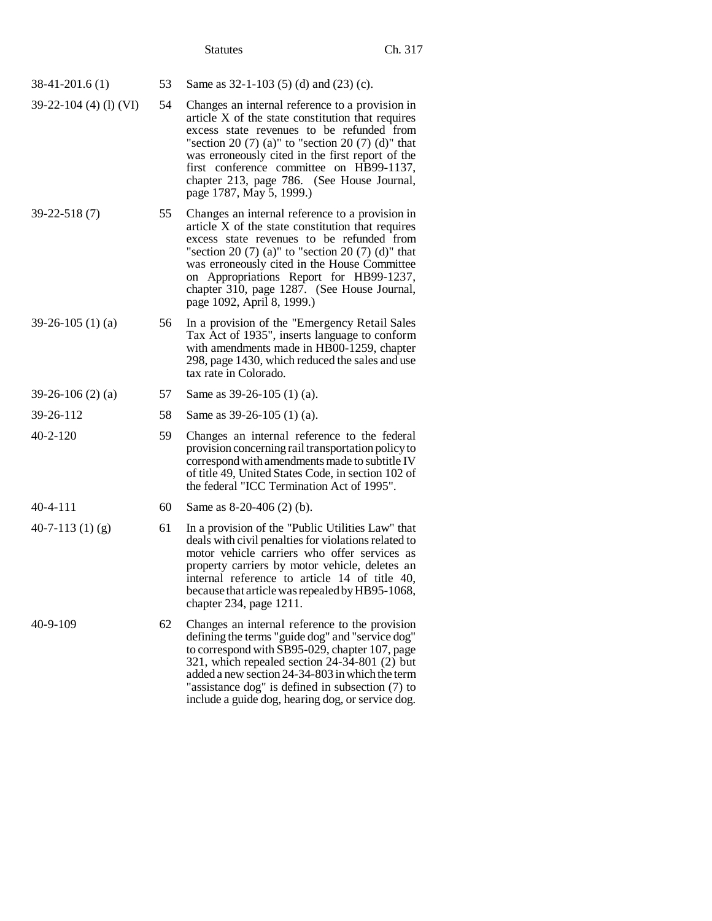| 38-41-201.6 (1) |  | 53 Same as $32-1-103$ (5) (d) and (23) (c). |  |
|-----------------|--|---------------------------------------------|--|
|-----------------|--|---------------------------------------------|--|

- 39-22-104 (4) (l) (VI) 54 Changes an internal reference to a provision in article X of the state constitution that requires excess state revenues to be refunded from "section 20  $(7)$  (a)" to "section 20  $(7)$  (d)" that was erroneously cited in the first report of the first conference committee on HB99-1137, chapter 213, page 786. (See House Journal, page 1787, May 5, 1999.)
- 39-22-518 (7) 55 Changes an internal reference to a provision in article X of the state constitution that requires excess state revenues to be refunded from "section 20 $(7)$  (a)" to "section 20 $(7)$  (d)" that was erroneously cited in the House Committee on Appropriations Report for HB99-1237, chapter 310, page 1287. (See House Journal, page 1092, April 8, 1999.)
- 39-26-105 (1) (a) 56 In a provision of the "Emergency Retail Sales Tax Act of 1935", inserts language to conform with amendments made in HB00-1259, chapter 298, page 1430, which reduced the sales and use tax rate in Colorado.

# 39-26-106 (2) (a) 57 Same as 39-26-105 (1) (a).

39-26-112 58 Same as 39-26-105 (1) (a).

- 40-2-120 59 Changes an internal reference to the federal provision concerning rail transportation policy to correspond with amendments made to subtitle IV of title 49, United States Code, in section 102 of the federal "ICC Termination Act of 1995".
- 40-4-111 60 Same as 8-20-406 (2) (b).
- $40-7-113$  (1) (g) 61 In a provision of the "Public Utilities Law" that deals with civil penalties for violations related to motor vehicle carriers who offer services as property carriers by motor vehicle, deletes an internal reference to article 14 of title 40, because that article was repealed by HB95-1068, chapter 234, page 1211.
- 40-9-109 62 Changes an internal reference to the provision defining the terms "guide dog" and "service dog" to correspond with SB95-029, chapter 107, page 321, which repealed section 24-34-801 (2) but added a new section 24-34-803 in which the term "assistance dog" is defined in subsection (7) to include a guide dog, hearing dog, or service dog.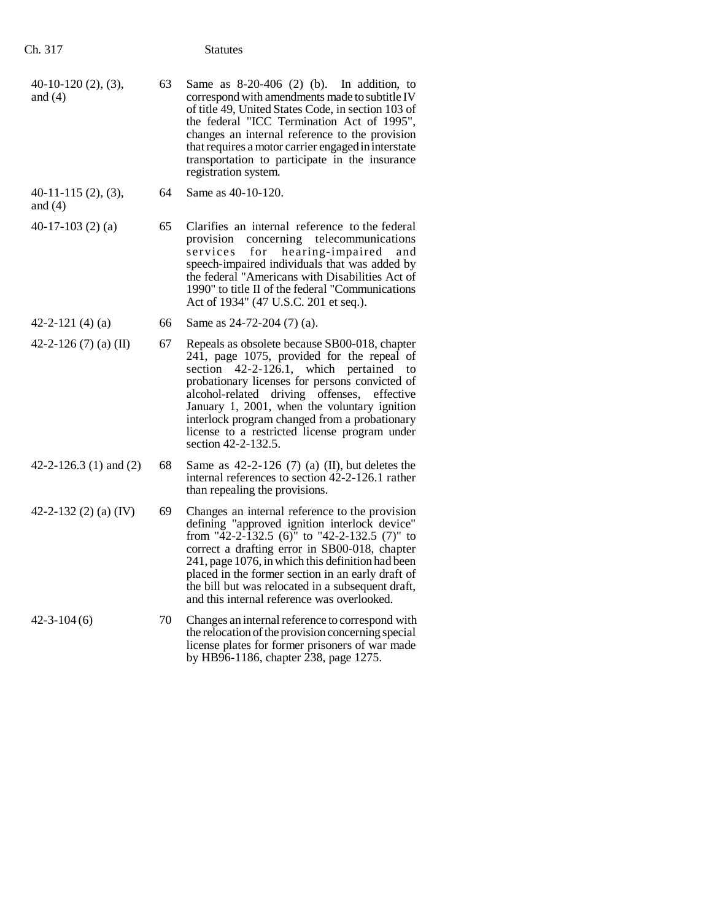| $40-10-120(2), (3),$<br>and $(4)$ | 63 | Same as $8-20-406$ (2) (b).<br>In addition, to<br>correspond with amendments made to subtitle IV<br>of title 49, United States Code, in section 103 of<br>the federal "ICC Termination Act of 1995",<br>changes an internal reference to the provision<br>that requires a motor carrier engaged in interstate<br>transportation to participate in the insurance<br>registration system.                                     |
|-----------------------------------|----|-----------------------------------------------------------------------------------------------------------------------------------------------------------------------------------------------------------------------------------------------------------------------------------------------------------------------------------------------------------------------------------------------------------------------------|
| $40-11-115(2), (3),$<br>and $(4)$ | 64 | Same as 40-10-120.                                                                                                                                                                                                                                                                                                                                                                                                          |
| 40-17-103 $(2)$ $(a)$             | 65 | Clarifies an internal reference to the federal<br>concerning telecommunications<br>provision<br>for<br>hearing-impaired<br>services<br>and<br>speech-impaired individuals that was added by<br>the federal "Americans with Disabilities Act of<br>1990" to title II of the federal "Communications<br>Act of 1934" (47 U.S.C. 201 et seq.).                                                                                 |
| 42-2-121 $(4)(a)$                 | 66 | Same as 24-72-204 (7) (a).                                                                                                                                                                                                                                                                                                                                                                                                  |
| 42-2-126 $(7)$ (a) (II)           | 67 | Repeals as obsolete because SB00-018, chapter<br>241, page 1075, provided for the repeal of<br>$42-2-126.1$ , which pertained<br>section<br>to<br>probationary licenses for persons convicted of<br>alcohol-related driving offenses,<br>effective<br>January 1, 2001, when the voluntary ignition<br>interlock program changed from a probationary<br>license to a restricted license program under<br>section 42-2-132.5. |
| 42-2-126.3 $(1)$ and $(2)$        | 68 | Same as $42-2-126$ (7) (a) (II), but deletes the<br>internal references to section 42-2-126.1 rather<br>than repealing the provisions.                                                                                                                                                                                                                                                                                      |
| 42-2-132 $(2)$ $(a)$ $(IV)$       | 69 | Changes an internal reference to the provision<br>defining "approved ignition interlock device"<br>from "42-2-132.5 (6)" to "42-2-132.5 (7)" to<br>correct a drafting error in SB00-018, chapter<br>241, page 1076, in which this definition had been<br>placed in the former section in an early draft of<br>the bill but was relocated in a subsequent draft,<br>and this internal reference was overlooked.              |
| $42 - 3 - 104(6)$                 | 70 | Changes an internal reference to correspond with<br>the relocation of the provision concerning special<br>license plates for former prisoners of war made<br>by HB96-1186, chapter 238, page 1275.                                                                                                                                                                                                                          |

Ch. 317 Statutes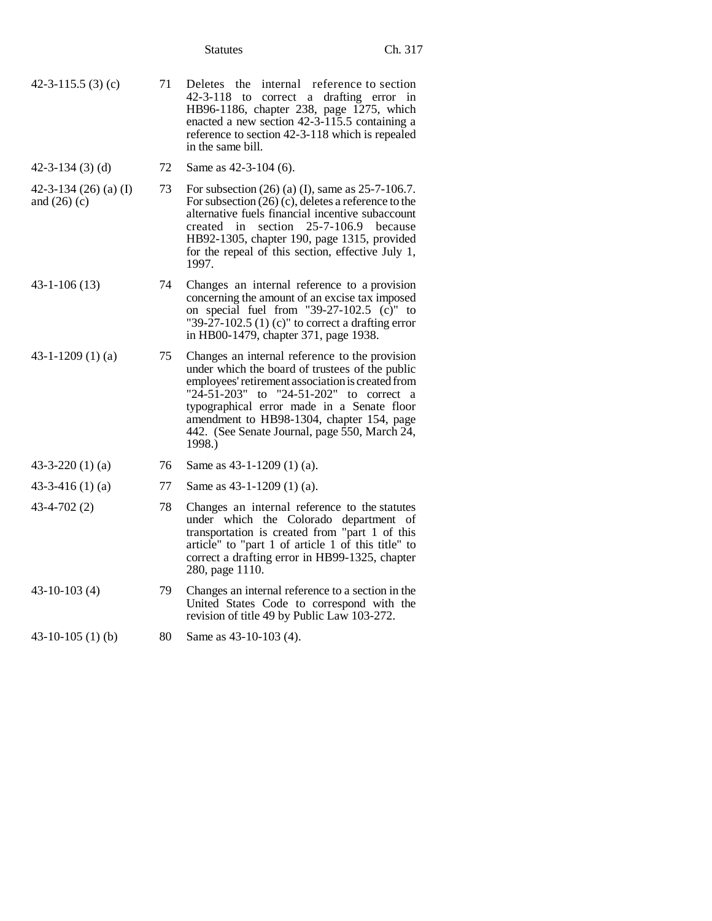| 42-3-115.5 (3) (c) | 71 Deletes the internal reference to section    |
|--------------------|-------------------------------------------------|
|                    | 42-3-118 to correct a drafting error in         |
|                    | HB96-1186, chapter 238, page 1275, which        |
|                    | enacted a new section 42-3-115.5 containing a   |
|                    | reference to section 42-3-118 which is repealed |
|                    | in the same bill.                               |

42-3-134 (3) (d) 72 Same as 42-3-104 (6).

- 42-3-134 (26) (a) (I) and (26) (c) 73 For subsection (26) (a) (I), same as 25-7-106.7. For subsection (26) (c), deletes a reference to the alternative fuels financial incentive subaccount created in section 25-7-106.9 because HB92-1305, chapter 190, page 1315, provided for the repeal of this section, effective July 1, 1997.
- 43-1-106 (13) 74 Changes an internal reference to a provision concerning the amount of an excise tax imposed on special fuel from "39-27-102.5  $(c)$ " to "39-27-102.5  $(1)$  (c)" to correct a drafting error in HB00-1479, chapter 371, page 1938.
- 43-1-1209 (1) (a) 75 Changes an internal reference to the provision under which the board of trustees of the public employees' retirement association is created from "24-51-203" to "24-51-202" to correct a typographical error made in a Senate floor amendment to HB98-1304, chapter 154, page 442. (See Senate Journal, page 550, March 24, 1998.)

# 43-3-220 (1) (a) 76 Same as 43-1-1209 (1) (a).

- 43-3-416 (1) (a) 77 Same as 43-1-1209 (1) (a).
- 43-4-702 (2) 78 Changes an internal reference to the statutes under which the Colorado department of transportation is created from "part 1 of this article" to "part 1 of article 1 of this title" to correct a drafting error in HB99-1325, chapter 280, page 1110.
- 43-10-103 (4) 79 Changes an internal reference to a section in the United States Code to correspond with the revision of title 49 by Public Law 103-272.
- 43-10-105 (1) (b) 80 Same as 43-10-103 (4).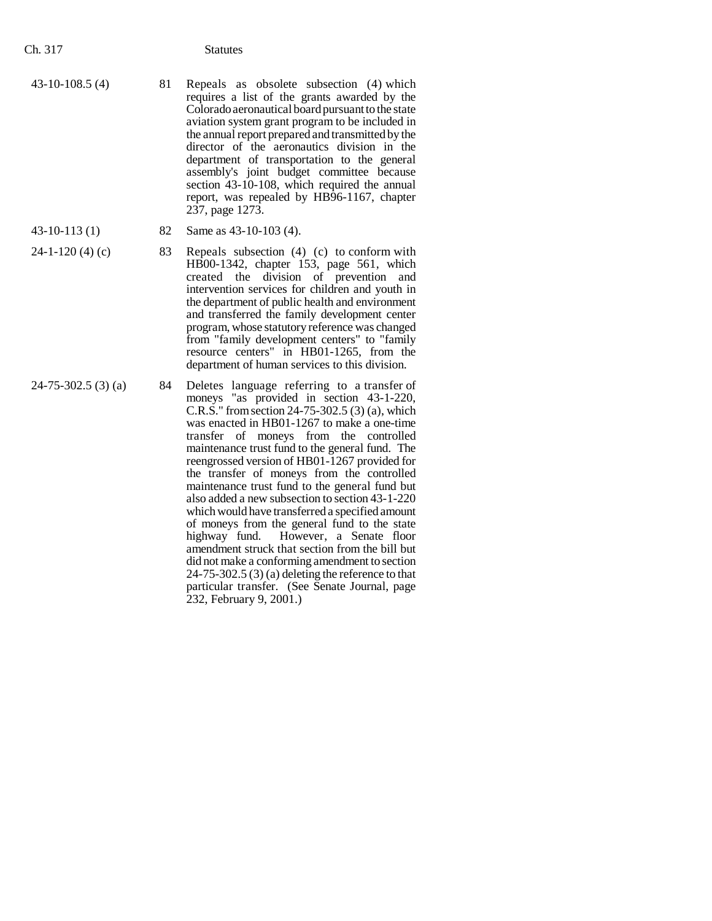- 43-10-108.5 (4) 81 Repeals as obsolete subsection (4) which requires a list of the grants awarded by the Colorado aeronautical board pursuant to the state aviation system grant program to be included in the annual report prepared and transmitted by the director of the aeronautics division in the department of transportation to the general assembly's joint budget committee because section 43-10-108, which required the annual report, was repealed by HB96-1167, chapter 237, page 1273.
- 43-10-113 (1) 82 Same as 43-10-103 (4).
- $24-1-120$  (4) (c) 83 Repeals subsection (4) (c) to conform with HB00-1342, chapter 153, page 561, which created the division of prevention and intervention services for children and youth in the department of public health and environment and transferred the family development center program, whose statutory reference was changed from "family development centers" to "family resource centers" in HB01-1265, from the department of human services to this division.
- $24-75-302.5$  (3) (a) 84 Deletes language referring to a transfer of moneys "as provided in section 43-1-220, C.R.S." from section 24-75-302.5 (3) (a), which was enacted in HB01-1267 to make a one-time transfer of moneys from the controlled maintenance trust fund to the general fund. The reengrossed version of HB01-1267 provided for the transfer of moneys from the controlled maintenance trust fund to the general fund but also added a new subsection to section 43-1-220 which would have transferred a specified amount of moneys from the general fund to the state<br>highway fund. However, a Senate floor However, a Senate floor amendment struck that section from the bill but did not make a conforming amendment to section 24-75-302.5 (3) (a) deleting the reference to that particular transfer. (See Senate Journal, page 232, February 9, 2001.)